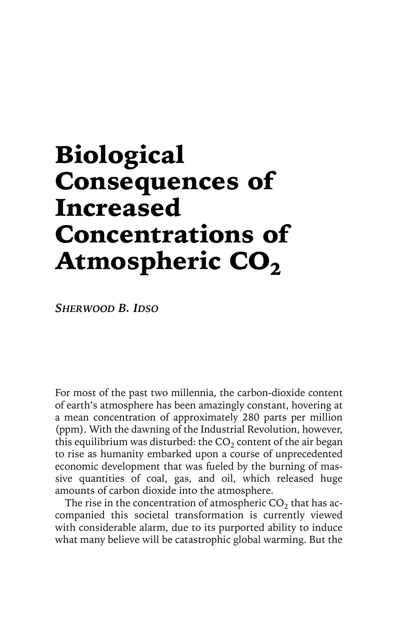# **Biological** Consequences of Increased Concentrations of Atmospheric  $CO<sub>2</sub>$

*SHERWOOD B. IDSO*

For most of the past two millennia, the carbon-dioxide content of earth's atmosphere has been amazingly constant, hovering at a mean concentration of approximately 280 parts per million (ppm). With the dawning of the Industrial Revolution, however, this equilibrium was disturbed: the  $CO<sub>2</sub>$  content of the air began to rise as humanity embarked upon a course of unprecedented economic development that was fueled by the burning of massive quantities of coal, gas, and oil, which released huge amounts of carbon dioxide into the atmosphere.

The rise in the concentration of atmospheric  $CO<sub>2</sub>$  that has accompanied this societal transformation is currently viewed with considerable alarm, due to its purported ability to induce what many believe will be catastrophic global warming. But the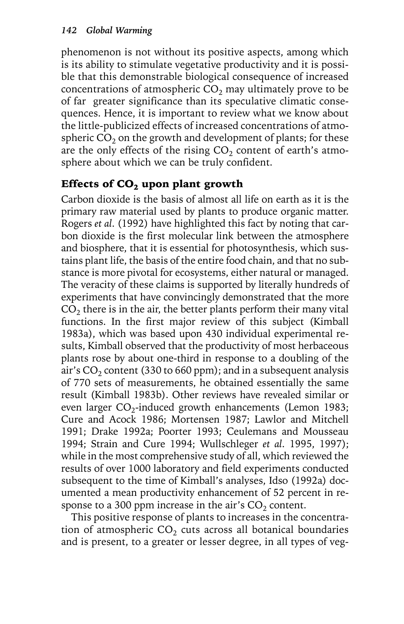phenomenon is not without its positive aspects, among which is its ability to stimulate vegetative productivity and it is possible that this demonstrable biological consequence of increased concentrations of atmospheric  $CO<sub>2</sub>$  may ultimately prove to be of far greater significance than its speculative climatic consequences. Hence, it is important to review what we know about the little-publicized effects of increased concentrations of atmospheric  $CO<sub>2</sub>$  on the growth and development of plants; for these are the only effects of the rising  $CO<sub>2</sub>$  content of earth's atmosphere about which we can be truly confident.

# Effects of  $CO<sub>2</sub>$  upon plant growth

Carbon dioxide is the basis of almost all life on earth as it is the primary raw material used by plants to produce organic matter. Rogers *et al*. (1992) have highlighted this fact by noting that carbon dioxide is the first molecular link between the atmosphere and biosphere, that it is essential for photosynthesis, which sustains plant life, the basis of the entire food chain, and that no substance is more pivotal for ecosystems, either natural or managed. The veracity of these claims is supported by literally hundreds of experiments that have convincingly demonstrated that the more  $CO<sub>2</sub>$  there is in the air, the better plants perform their many vital functions. In the first major review of this subject (Kimball 1983a), which was based upon 430 individual experimental results, Kimball observed that the productivity of most herbaceous plants rose by about one-third in response to a doubling of the air's  $CO<sub>2</sub>$  content (330 to 660 ppm); and in a subsequent analysis of 770 sets of measurements, he obtained essentially the same result (Kimball 1983b). Other reviews have revealed similar or even larger  $CO_2$ -induced growth enhancements (Lemon 1983; Cure and Acock 1986; Mortensen 1987; Lawlor and Mitchell 1991; Drake 1992a; Poorter 1993; Ceulemans and Mousseau 1994; Strain and Cure 1994; Wullschleger *et al*. 1995, 1997); while in the most comprehensive study of all, which reviewed the results of over 1000 laboratory and field experiments conducted subsequent to the time of Kimball's analyses, Idso (1992a) documented a mean productivity enhancement of 52 percent in response to a 300 ppm increase in the air's  $CO<sub>2</sub>$  content.

This positive response of plants to increases in the concentration of atmospheric  $CO<sub>2</sub>$  cuts across all botanical boundaries and is present, to a greater or lesser degree, in all types of veg-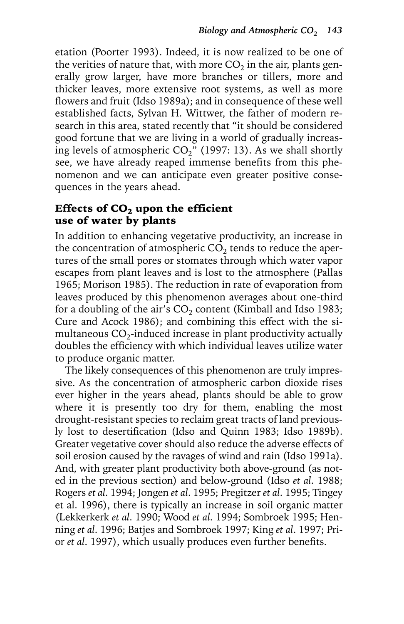etation (Poorter 1993). Indeed, it is now realized to be one of the verities of nature that, with more  $CO<sub>2</sub>$  in the air, plants generally grow larger, have more branches or tillers, more and thicker leaves, more extensive root systems, as well as more flowers and fruit (Idso 1989a); and in consequence of these well established facts, Sylvan H. Wittwer, the father of modern research in this area, stated recently that "it should be considered good fortune that we are living in a world of gradually increasing levels of atmospheric  $CO_2^{\prime\prime}$  (1997: 13). As we shall shortly see, we have already reaped immense benefits from this phenomenon and we can anticipate even greater positive consequences in the years ahead.

#### Effects of  $CO<sub>2</sub>$  upon the efficient use of water by plants

In addition to enhancing vegetative productivity, an increase in the concentration of atmospheric  $CO<sub>2</sub>$  tends to reduce the apertures of the small pores or stomates through which water vapor escapes from plant leaves and is lost to the atmosphere (Pallas 1965; Morison 1985). The reduction in rate of evaporation from leaves produced by this phenomenon averages about one-third for a doubling of the air's  $CO<sub>2</sub>$  content (Kimball and Idso 1983; Cure and Acock 1986); and combining this effect with the simultaneous  $CO<sub>2</sub>$ -induced increase in plant productivity actually doubles the efficiency with which individual leaves utilize water to produce organic matter.

The likely consequences of this phenomenon are truly impressive. As the concentration of atmospheric carbon dioxide rises ever higher in the years ahead, plants should be able to grow where it is presently too dry for them, enabling the most drought-resistant species to reclaim great tracts of land previously lost to desertification (Idso and Quinn 1983; Idso 1989b). Greater vegetative cover should also reduce the adverse effects of soil erosion caused by the ravages of wind and rain (Idso 1991a). And, with greater plant productivity both above-ground (as noted in the previous section) and below-ground (Idso *et al*. 1988; Rogers *et al*. 1994; Jongen *et al*. 1995; Pregitzer *et al*. 1995; Tingey et al. 1996), there is typically an increase in soil organic matter (Lekkerkerk *et al*. 1990; Wood *et al*. 1994; Sombroek 1995; Henning *et al*. 1996; Batjes and Sombroek 1997; King *et al*. 1997; Prior *et al*. 1997), which usually produces even further benefits.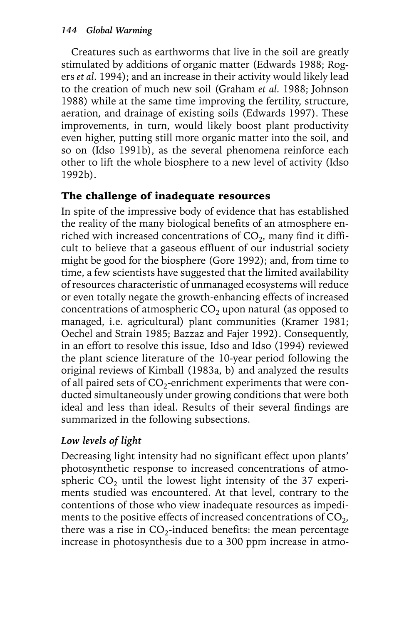Creatures such as earthworms that live in the soil are greatly stimulated by additions of organic matter (Edwards 1988; Rogers *et al*. 1994); and an increase in their activity would likely lead to the creation of much new soil (Graham *et al*. 1988; Johnson 1988) while at the same time improving the fertility, structure, aeration, and drainage of existing soils (Edwards 1997). These improvements, in turn, would likely boost plant productivity even higher, putting still more organic matter into the soil, and so on (Idso 1991b), as the several phenomena reinforce each other to lift the whole biosphere to a new level of activity (Idso 1992b).

## The challenge of inadequate resources

In spite of the impressive body of evidence that has established the reality of the many biological benefits of an atmosphere enriched with increased concentrations of  $CO<sub>2</sub>$ , many find it difficult to believe that a gaseous effluent of our industrial society might be good for the biosphere (Gore 1992); and, from time to time, a few scientists have suggested that the limited availability of resources characteristic of unmanaged ecosystems will reduce or even totally negate the growth-enhancing effects of increased concentrations of atmospheric  $CO<sub>2</sub>$  upon natural (as opposed to managed, i.e. agricultural) plant communities (Kramer 1981; Oechel and Strain 1985; Bazzaz and Fajer 1992). Consequently, in an effort to resolve this issue, Idso and Idso (1994) reviewed the plant science literature of the 10-year period following the original reviews of Kimball (1983a, b) and analyzed the results of all paired sets of  $CO_2$ -enrichment experiments that were conducted simultaneously under growing conditions that were both ideal and less than ideal. Results of their several findings are summarized in the following subsections.

# *Low levels of light*

Decreasing light intensity had no significant effect upon plants' photosynthetic response to increased concentrations of atmospheric  $CO<sub>2</sub>$  until the lowest light intensity of the 37 experiments studied was encountered. At that level, contrary to the contentions of those who view inadequate resources as impediments to the positive effects of increased concentrations of  $CO<sub>2</sub>$ , there was a rise in  $CO_2$ -induced benefits: the mean percentage increase in photosynthesis due to a 300 ppm increase in atmo-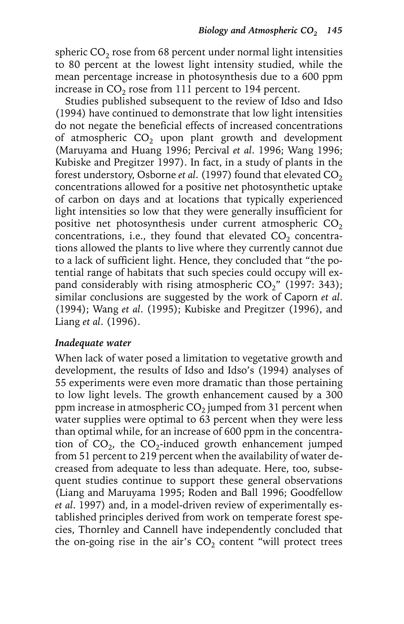spheric  $CO<sub>2</sub>$  rose from 68 percent under normal light intensities to 80 percent at the lowest light intensity studied, while the mean percentage increase in photosynthesis due to a 600 ppm increase in  $CO<sub>2</sub>$  rose from 111 percent to 194 percent.

Studies published subsequent to the review of Idso and Idso (1994) have continued to demonstrate that low light intensities do not negate the beneficial effects of increased concentrations of atmospheric  $CO<sub>2</sub>$  upon plant growth and development (Maruyama and Huang 1996; Percival *et al*. 1996; Wang 1996; Kubiske and Pregitzer 1997). In fact, in a study of plants in the forest understory, Osborne *et al.* (1997) found that elevated  $CO<sub>2</sub>$ concentrations allowed for a positive net photosynthetic uptake of carbon on days and at locations that typically experienced light intensities so low that they were generally insufficient for positive net photosynthesis under current atmospheric  $CO<sub>2</sub>$ concentrations, i.e., they found that elevated  $CO<sub>2</sub>$  concentrations allowed the plants to live where they currently cannot due to a lack of sufficient light. Hence, they concluded that "the potential range of habitats that such species could occupy will expand considerably with rising atmospheric  $CO<sub>2</sub>$ " (1997: 343); similar conclusions are suggested by the work of Caporn *et al*. (1994); Wang *et al*. (1995); Kubiske and Pregitzer (1996), and Liang *et al*. (1996).

#### *Inadequate water*

When lack of water posed a limitation to vegetative growth and development, the results of Idso and Idso's (1994) analyses of 55 experiments were even more dramatic than those pertaining to low light levels. The growth enhancement caused by a 300 ppm increase in atmospheric  $CO<sub>2</sub>$  jumped from 31 percent when water supplies were optimal to 63 percent when they were less than optimal while, for an increase of 600 ppm in the concentration of  $CO<sub>2</sub>$ , the  $CO<sub>2</sub>$ -induced growth enhancement jumped from 51 percent to 219 percent when the availability of water decreased from adequate to less than adequate. Here, too, subsequent studies continue to support these general observations (Liang and Maruyama 1995; Roden and Ball 1996; Goodfellow *et al*. 1997) and, in a model-driven review of experimentally established principles derived from work on temperate forest species, Thornley and Cannell have independently concluded that the on-going rise in the air's  $CO<sub>2</sub>$  content "will protect trees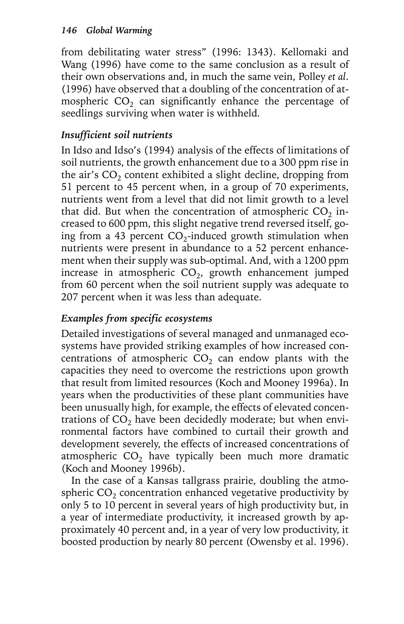from debilitating water stress" (1996: 1343). Kellomaki and Wang (1996) have come to the same conclusion as a result of their own observations and, in much the same vein, Polley *et al*. (1996) have observed that a doubling of the concentration of atmospheric  $CO<sub>2</sub>$  can significantly enhance the percentage of seedlings surviving when water is withheld.

## *Insufficient soil nutrients*

In Idso and Idso's (1994) analysis of the effects of limitations of soil nutrients, the growth enhancement due to a 300 ppm rise in the air's  $CO<sub>2</sub>$  content exhibited a slight decline, dropping from 51 percent to 45 percent when, in a group of 70 experiments, nutrients went from a level that did not limit growth to a level that did. But when the concentration of atmospheric  $CO<sub>2</sub>$  increased to 600 ppm, this slight negative trend reversed itself, going from a 43 percent  $CO<sub>2</sub>$ -induced growth stimulation when nutrients were present in abundance to a 52 percent enhancement when their supply was sub-optimal. And, with a 1200 ppm increase in atmospheric  $CO<sub>2</sub>$ , growth enhancement jumped from 60 percent when the soil nutrient supply was adequate to 207 percent when it was less than adequate.

## *Examples from specific ecosystems*

Detailed investigations of several managed and unmanaged ecosystems have provided striking examples of how increased concentrations of atmospheric  $CO<sub>2</sub>$  can endow plants with the capacities they need to overcome the restrictions upon growth that result from limited resources (Koch and Mooney 1996a). In years when the productivities of these plant communities have been unusually high, for example, the effects of elevated concentrations of  $CO<sub>2</sub>$  have been decidedly moderate; but when environmental factors have combined to curtail their growth and development severely, the effects of increased concentrations of atmospheric  $CO<sub>2</sub>$  have typically been much more dramatic (Koch and Mooney 1996b).

In the case of a Kansas tallgrass prairie, doubling the atmospheric  $CO<sub>2</sub>$  concentration enhanced vegetative productivity by only 5 to 10 percent in several years of high productivity but, in a year of intermediate productivity, it increased growth by approximately 40 percent and, in a year of very low productivity, it boosted production by nearly 80 percent (Owensby et al. 1996).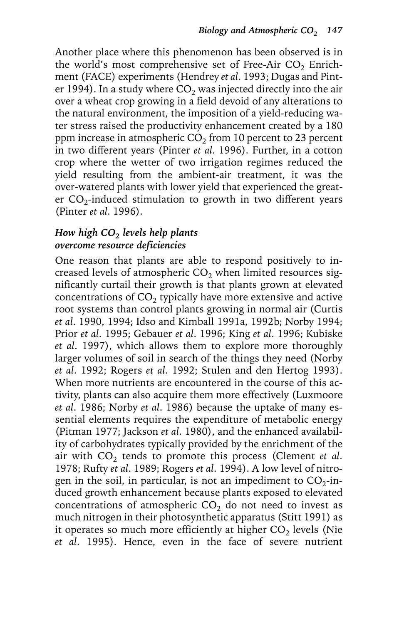Another place where this phenomenon has been observed is in the world's most comprehensive set of Free-Air  $CO<sub>2</sub>$  Enrichment (FACE) experiments (Hendrey *et al*. 1993; Dugas and Pinter 1994). In a study where  $CO<sub>2</sub>$  was injected directly into the air over a wheat crop growing in a field devoid of any alterations to the natural environment, the imposition of a yield-reducing water stress raised the productivity enhancement created by a 180 ppm increase in atmospheric  $CO<sub>2</sub>$  from 10 percent to 23 percent in two different years (Pinter *et al*. 1996). Further, in a cotton crop where the wetter of two irrigation regimes reduced the yield resulting from the ambient-air treatment, it was the over-watered plants with lower yield that experienced the greater  $CO<sub>2</sub>$ -induced stimulation to growth in two different years (Pinter *et al*. 1996).

#### *How high CO2 levels help plants overcome resource deficiencies*

One reason that plants are able to respond positively to increased levels of atmospheric  $CO<sub>2</sub>$  when limited resources significantly curtail their growth is that plants grown at elevated concentrations of  $CO<sub>2</sub>$  typically have more extensive and active root systems than control plants growing in normal air (Curtis *et al*. 1990, 1994; Idso and Kimball 1991a, 1992b; Norby 1994; Prior *et al*. 1995; Gebauer *et al*. 1996; King *et al*. 1996; Kubiske *et al*. 1997), which allows them to explore more thoroughly larger volumes of soil in search of the things they need (Norby *et al*. 1992; Rogers *et al*. 1992; Stulen and den Hertog 1993). When more nutrients are encountered in the course of this activity, plants can also acquire them more effectively (Luxmoore *et al*. 1986; Norby *et al*. 1986) because the uptake of many essential elements requires the expenditure of metabolic energy (Pitman 1977; Jackson *et al*. 1980), and the enhanced availability of carbohydrates typically provided by the enrichment of the air with CO<sub>2</sub> tends to promote this process (Clement *et al.*) 1978; Rufty *et al*. 1989; Rogers *et al*. 1994). A low level of nitrogen in the soil, in particular, is not an impediment to  $CO<sub>2</sub>$ -induced growth enhancement because plants exposed to elevated concentrations of atmospheric  $CO<sub>2</sub>$  do not need to invest as much nitrogen in their photosynthetic apparatus (Stitt 1991) as it operates so much more efficiently at higher  $CO<sub>2</sub>$  levels (Nie *et al*. 1995). Hence, even in the face of severe nutrient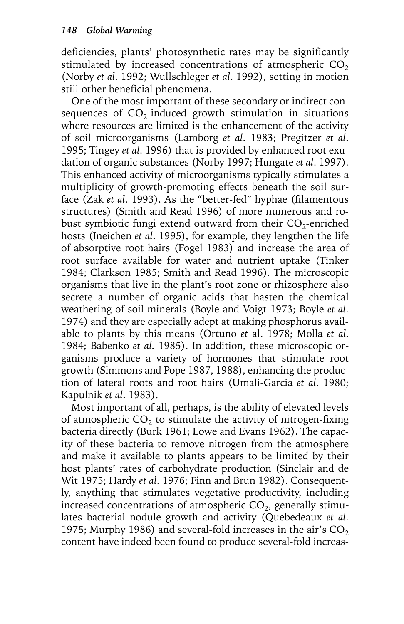deficiencies, plants' photosynthetic rates may be significantly stimulated by increased concentrations of atmospheric  $CO<sub>2</sub>$ (Norby *et al*. 1992; Wullschleger *et al*. 1992), setting in motion still other beneficial phenomena.

One of the most important of these secondary or indirect consequences of  $CO_2$ -induced growth stimulation in situations where resources are limited is the enhancement of the activity of soil microorganisms (Lamborg *et al*. 1983; Pregitzer *et al*. 1995; Tingey *et al*. 1996) that is provided by enhanced root exudation of organic substances (Norby 1997; Hungate *et al*. 1997). This enhanced activity of microorganisms typically stimulates a multiplicity of growth-promoting effects beneath the soil surface (Zak *et al*. 1993). As the "better-fed" hyphae (filamentous structures) (Smith and Read 1996) of more numerous and robust symbiotic fungi extend outward from their  $CO_2$ -enriched hosts (Ineichen *et al*. 1995), for example, they lengthen the life of absorptive root hairs (Fogel 1983) and increase the area of root surface available for water and nutrient uptake (Tinker 1984; Clarkson 1985; Smith and Read 1996). The microscopic organisms that live in the plant's root zone or rhizosphere also secrete a number of organic acids that hasten the chemical weathering of soil minerals (Boyle and Voigt 1973; Boyle *et al*. 1974) and they are especially adept at making phosphorus available to plants by this means (Ortuno *et* al. 1978; Molla *et al*. 1984; Babenko *et al*. 1985). In addition, these microscopic organisms produce a variety of hormones that stimulate root growth (Simmons and Pope 1987, 1988), enhancing the production of lateral roots and root hairs (Umali-Garcia *et al*. 1980; Kapulnik *et al*. 1983).

Most important of all, perhaps, is the ability of elevated levels of atmospheric  $CO<sub>2</sub>$  to stimulate the activity of nitrogen-fixing bacteria directly (Burk 1961; Lowe and Evans 1962). The capacity of these bacteria to remove nitrogen from the atmosphere and make it available to plants appears to be limited by their host plants' rates of carbohydrate production (Sinclair and de Wit 1975; Hardy *et al*. 1976; Finn and Brun 1982). Consequently, anything that stimulates vegetative productivity, including increased concentrations of atmospheric  $CO<sub>2</sub>$ , generally stimulates bacterial nodule growth and activity (Quebedeaux *et al*. 1975; Murphy 1986) and several-fold increases in the air's  $CO<sub>2</sub>$ content have indeed been found to produce several-fold increas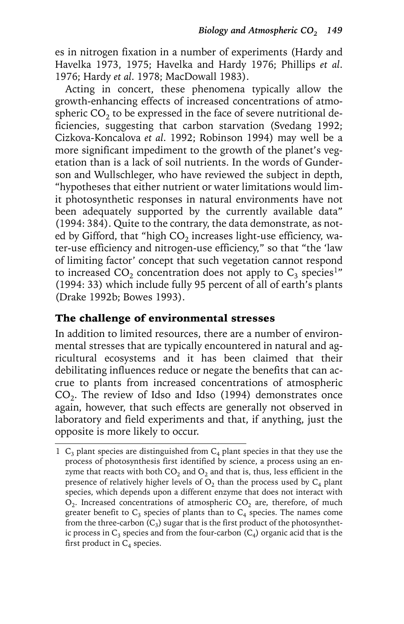es in nitrogen fixation in a number of experiments (Hardy and Havelka 1973, 1975; Havelka and Hardy 1976; Phillips *et al*. 1976; Hardy *et al*. 1978; MacDowall 1983).

Acting in concert, these phenomena typically allow the growth-enhancing effects of increased concentrations of atmospheric  $CO<sub>2</sub>$  to be expressed in the face of severe nutritional deficiencies, suggesting that carbon starvation (Svedang 1992; Cizkova-Koncalova *et al*. 1992; Robinson 1994) may well be a more significant impediment to the growth of the planet's vegetation than is a lack of soil nutrients. In the words of Gunderson and Wullschleger, who have reviewed the subject in depth, "hypotheses that either nutrient or water limitations would limit photosynthetic responses in natural environments have not been adequately supported by the currently available data" (1994: 384). Quite to the contrary, the data demonstrate, as noted by Gifford, that "high  $CO<sub>2</sub>$  increases light-use efficiency, water-use efficiency and nitrogen-use efficiency," so that "the 'law of limiting factor' concept that such vegetation cannot respond to increased  $CO<sub>2</sub>$  concentration does not apply to  $C<sub>3</sub>$  species<sup>1</sup>" (1994: 33) which include fully 95 percent of all of earth's plants (Drake 1992b; Bowes 1993).

### The challenge of environmental stresses

In addition to limited resources, there are a number of environmental stresses that are typically encountered in natural and agricultural ecosystems and it has been claimed that their debilitating influences reduce or negate the benefits that can accrue to plants from increased concentrations of atmospheric  $CO<sub>2</sub>$ . The review of Idso and Idso (1994) demonstrates once again, however, that such effects are generally not observed in laboratory and field experiments and that, if anything, just the opposite is more likely to occur.

<sup>1</sup>  $C_3$  plant species are distinguished from  $C_4$  plant species in that they use the process of photosynthesis first identified by science, a process using an enzyme that reacts with both  $CO_2$  and  $O_2$  and that is, thus, less efficient in the presence of relatively higher levels of  $O_2$  than the process used by  $C_4$  plant species, which depends upon a different enzyme that does not interact with  $O<sub>2</sub>$ . Increased concentrations of atmospheric CO<sub>2</sub> are, therefore, of much greater benefit to  $C_3$  species of plants than to  $C_4$  species. The names come from the three-carbon  $(C_3)$  sugar that is the first product of the photosynthetic process in  $C_3$  species and from the four-carbon  $(C_4)$  organic acid that is the first product in  $C_4$  species.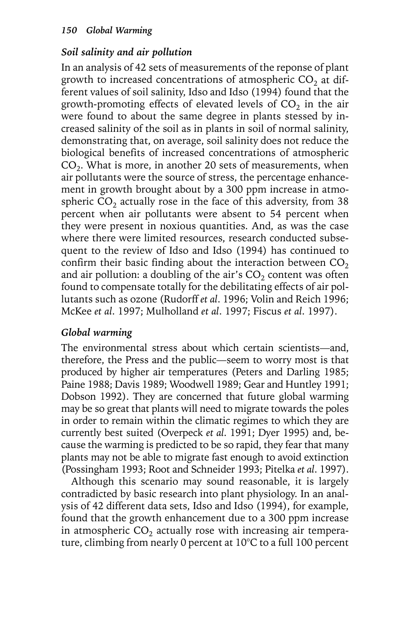### *Soil salinity and air pollution*

In an analysis of 42 sets of measurements of the reponse of plant growth to increased concentrations of atmospheric  $CO<sub>2</sub>$  at different values of soil salinity, Idso and Idso (1994) found that the growth-promoting effects of elevated levels of  $CO<sub>2</sub>$  in the air were found to about the same degree in plants stessed by increased salinity of the soil as in plants in soil of normal salinity, demonstrating that, on average, soil salinity does not reduce the biological benefits of increased concentrations of atmospheric  $CO<sub>2</sub>$ . What is more, in another 20 sets of measurements, when air pollutants were the source of stress, the percentage enhancement in growth brought about by a 300 ppm increase in atmospheric  $CO<sub>2</sub>$  actually rose in the face of this adversity, from 38 percent when air pollutants were absent to 54 percent when they were present in noxious quantities. And, as was the case where there were limited resources, research conducted subsequent to the review of Idso and Idso (1994) has continued to confirm their basic finding about the interaction between  $CO<sub>2</sub>$ and air pollution: a doubling of the air's  $CO<sub>2</sub>$  content was often found to compensate totally for the debilitating effects of air pollutants such as ozone (Rudorff *et al*. 1996; Volin and Reich 1996; McKee *et al*. 1997; Mulholland *et al*. 1997; Fiscus *et al*. 1997).

#### *Global warming*

The environmental stress about which certain scientists—and, therefore, the Press and the public—seem to worry most is that produced by higher air temperatures (Peters and Darling 1985; Paine 1988; Davis 1989; Woodwell 1989; Gear and Huntley 1991; Dobson 1992). They are concerned that future global warming may be so great that plants will need to migrate towards the poles in order to remain within the climatic regimes to which they are currently best suited (Overpeck *et al*. 1991; Dyer 1995) and, because the warming is predicted to be so rapid, they fear that many plants may not be able to migrate fast enough to avoid extinction (Possingham 1993; Root and Schneider 1993; Pitelka *et al*. 1997).

Although this scenario may sound reasonable, it is largely contradicted by basic research into plant physiology. In an analysis of 42 different data sets, Idso and Idso (1994), for example, found that the growth enhancement due to a 300 ppm increase in atmospheric  $CO<sub>2</sub>$  actually rose with increasing air temperature, climbing from nearly 0 percent at 10°C to a full 100 percent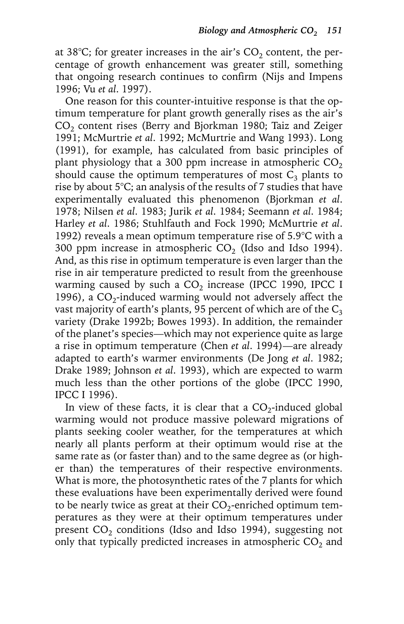at 38 $^{\circ}$ C; for greater increases in the air's CO<sub>2</sub> content, the percentage of growth enhancement was greater still, something that ongoing research continues to confirm (Nijs and Impens 1996; Vu *et al*. 1997).

One reason for this counter-intuitive response is that the optimum temperature for plant growth generally rises as the air's  $CO<sub>2</sub>$  content rises (Berry and Bjorkman 1980; Taiz and Zeiger 1991; McMurtrie *et al*. 1992; McMurtrie and Wang 1993). Long (1991), for example, has calculated from basic principles of plant physiology that a 300 ppm increase in atmospheric  $CO<sub>2</sub>$ should cause the optimum temperatures of most  $C_3$  plants to rise by about 5°C; an analysis of the results of 7 studies that have experimentally evaluated this phenomenon (Bjorkman *et al*. 1978; Nilsen *et al*. 1983; Jurik *et al*. 1984; Seemann *et al*. 1984; Harley *et al*. 1986; Stuhlfauth and Fock 1990; McMurtrie *et al*. 1992) reveals a mean optimum temperature rise of 5.9°C with a 300 ppm increase in atmospheric  $CO<sub>2</sub>$  (Idso and Idso 1994). And, as this rise in optimum temperature is even larger than the rise in air temperature predicted to result from the greenhouse warming caused by such a  $CO<sub>2</sub>$  increase (IPCC 1990, IPCC I 1996), a  $CO_2$ -induced warming would not adversely affect the vast majority of earth's plants, 95 percent of which are of the  $C_3$ variety (Drake 1992b; Bowes 1993). In addition, the remainder of the planet's species—which may not experience quite as large a rise in optimum temperature (Chen *et al*. 1994)—are already adapted to earth's warmer environments (De Jong *et al*. 1982; Drake 1989; Johnson *et al*. 1993), which are expected to warm much less than the other portions of the globe (IPCC 1990, IPCC I 1996).

In view of these facts, it is clear that a  $CO_2$ -induced global warming would not produce massive poleward migrations of plants seeking cooler weather, for the temperatures at which nearly all plants perform at their optimum would rise at the same rate as (or faster than) and to the same degree as (or higher than) the temperatures of their respective environments. What is more, the photosynthetic rates of the 7 plants for which these evaluations have been experimentally derived were found to be nearly twice as great at their  $CO_2$ -enriched optimum temperatures as they were at their optimum temperatures under present  $CO<sub>2</sub>$  conditions (Idso and Idso 1994), suggesting not only that typically predicted increases in atmospheric  $CO<sub>2</sub>$  and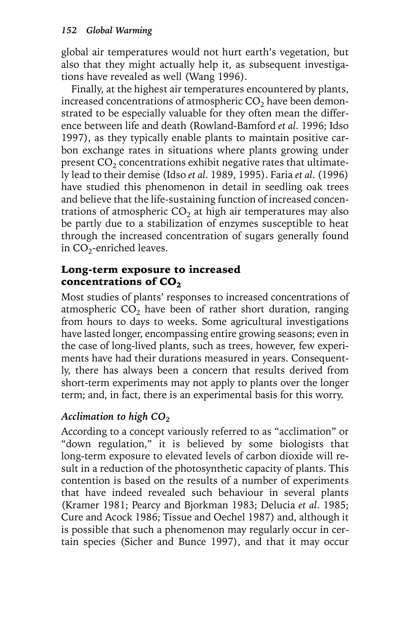global air temperatures would not hurt earth's vegetation, but also that they might actually help it, as subsequent investigations have revealed as well (Wang 1996).

Finally, at the highest air temperatures encountered by plants, increased concentrations of atmospheric  $CO<sub>2</sub>$  have been demonstrated to be especially valuable for they often mean the difference between life and death (Rowland-Bamford *et al*. 1996; Idso 1997), as they typically enable plants to maintain positive carbon exchange rates in situations where plants growing under present  $CO<sub>2</sub>$  concentrations exhibit negative rates that ultimately lead to their demise (Idso *et al*. 1989, 1995). Faria *et al*. (1996) have studied this phenomenon in detail in seedling oak trees and believe that the life-sustaining function of increased concentrations of atmospheric  $CO<sub>2</sub>$  at high air temperatures may also be partly due to a stabilization of enzymes susceptible to heat through the increased concentration of sugars generally found in  $CO_2$ -enriched leaves.

## Long-term exposure to increased concentrations of  $CO<sub>2</sub>$

Most studies of plants' responses to increased concentrations of atmospheric  $CO<sub>2</sub>$  have been of rather short duration, ranging from hours to days to weeks. Some agricultural investigations have lasted longer, encompassing entire growing seasons; even in the case of long-lived plants, such as trees, however, few experiments have had their durations measured in years. Consequently, there has always been a concern that results derived from short-term experiments may not apply to plants over the longer term; and, in fact, there is an experimental basis for this worry.

# *Acclimation to high CO<sub>2</sub>*

According to a concept variously referred to as "acclimation" or "down regulation," it is believed by some biologists that long-term exposure to elevated levels of carbon dioxide will result in a reduction of the photosynthetic capacity of plants. This contention is based on the results of a number of experiments that have indeed revealed such behaviour in several plants (Kramer 1981; Pearcy and Bjorkman 1983; Delucia *et al*. 1985; Cure and Acock 1986; Tissue and Oechel 1987) and, although it is possible that such a phenomenon may regularly occur in certain species (Sicher and Bunce 1997), and that it may occur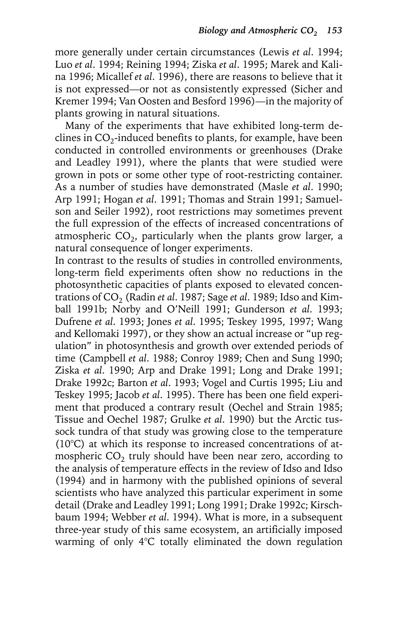more generally under certain circumstances (Lewis *et al*. 1994; Luo *et al*. 1994; Reining 1994; Ziska *et al*. 1995; Marek and Kalina 1996; Micallef *et al*. 1996), there are reasons to believe that it is not expressed—or not as consistently expressed (Sicher and Kremer 1994; Van Oosten and Besford 1996)—in the majority of plants growing in natural situations.

Many of the experiments that have exhibited long-term declines in  $CO_2$ -induced benefits to plants, for example, have been conducted in controlled environments or greenhouses (Drake and Leadley 1991), where the plants that were studied were grown in pots or some other type of root-restricting container. As a number of studies have demonstrated (Masle *et al*. 1990; Arp 1991; Hogan *et al*. 1991; Thomas and Strain 1991; Samuelson and Seiler 1992), root restrictions may sometimes prevent the full expression of the effects of increased concentrations of atmospheric  $CO<sub>2</sub>$ , particularly when the plants grow larger, a natural consequence of longer experiments.

In contrast to the results of studies in controlled environments, long-term field experiments often show no reductions in the photosynthetic capacities of plants exposed to elevated concentrations of CO<sub>2</sub> (Radin *et al.* 1987; Sage *et al.* 1989; Idso and Kimball 1991b; Norby and O'Neill 1991; Gunderson *et al*. 1993; Dufrene *et al*. 1993; Jones *et al*. 1995; Teskey 1995, 1997; Wang and Kellomaki 1997), or they show an actual increase or "up regulation" in photosynthesis and growth over extended periods of time (Campbell *et al*. 1988; Conroy 1989; Chen and Sung 1990; Ziska *et al*. 1990; Arp and Drake 1991; Long and Drake 1991; Drake 1992c; Barton *et al*. 1993; Vogel and Curtis 1995; Liu and Teskey 1995; Jacob *et al*. 1995). There has been one field experiment that produced a contrary result (Oechel and Strain 1985; Tissue and Oechel 1987; Grulke *et al*. 1990) but the Arctic tussock tundra of that study was growing close to the temperature (10°C) at which its response to increased concentrations of atmospheric  $CO<sub>2</sub>$  truly should have been near zero, according to the analysis of temperature effects in the review of Idso and Idso (1994) and in harmony with the published opinions of several scientists who have analyzed this particular experiment in some detail (Drake and Leadley 1991; Long 1991; Drake 1992c; Kirschbaum 1994; Webber *et al*. 1994). What is more, in a subsequent three-year study of this same ecosystem, an artificially imposed warming of only 4°C totally eliminated the down regulation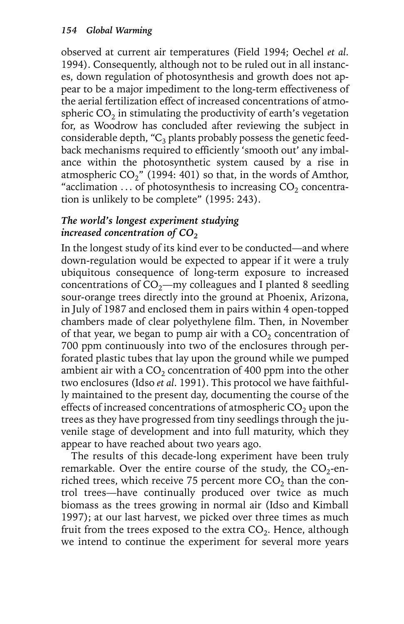observed at current air temperatures (Field 1994; Oechel *et al*. 1994). Consequently, although not to be ruled out in all instances, down regulation of photosynthesis and growth does not appear to be a major impediment to the long-term effectiveness of the aerial fertilization effect of increased concentrations of atmospheric  $CO<sub>2</sub>$  in stimulating the productivity of earth's vegetation for, as Woodrow has concluded after reviewing the subject in considerable depth, " $C_3$  plants probably possess the genetic feedback mechanisms required to efficiently 'smooth out' any imbalance within the photosynthetic system caused by a rise in atmospheric  $CO_2$ <sup>"</sup> (1994: 401) so that, in the words of Amthor, "acclimation  $\ldots$  of photosynthesis to increasing CO<sub>2</sub> concentration is unlikely to be complete" (1995: 243).

#### *The world's longest experiment studying increased concentration of CO<sub>2</sub>*

In the longest study of its kind ever to be conducted—and where down-regulation would be expected to appear if it were a truly ubiquitous consequence of long-term exposure to increased concentrations of  $CO_2$ —my colleagues and I planted 8 seedling sour-orange trees directly into the ground at Phoenix, Arizona, in July of 1987 and enclosed them in pairs within 4 open-topped chambers made of clear polyethylene film. Then, in November of that year, we began to pump air with a  $CO<sub>2</sub>$  concentration of 700 ppm continuously into two of the enclosures through perforated plastic tubes that lay upon the ground while we pumped ambient air with a  $CO<sub>2</sub>$  concentration of 400 ppm into the other two enclosures (Idso *et al*. 1991). This protocol we have faithfully maintained to the present day, documenting the course of the effects of increased concentrations of atmospheric  $CO<sub>2</sub>$  upon the trees as they have progressed from tiny seedlings through the juvenile stage of development and into full maturity, which they appear to have reached about two years ago.

The results of this decade-long experiment have been truly remarkable. Over the entire course of the study, the  $CO_2$ -enriched trees, which receive 75 percent more  $CO<sub>2</sub>$  than the control trees—have continually produced over twice as much biomass as the trees growing in normal air (Idso and Kimball 1997); at our last harvest, we picked over three times as much fruit from the trees exposed to the extra  $CO<sub>2</sub>$ . Hence, although we intend to continue the experiment for several more years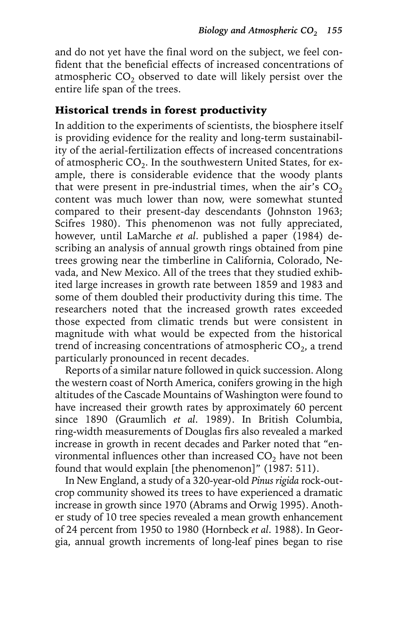and do not yet have the final word on the subject, we feel confident that the beneficial effects of increased concentrations of atmospheric  $CO<sub>2</sub>$  observed to date will likely persist over the entire life span of the trees.

#### Historical trends in forest productivity

In addition to the experiments of scientists, the biosphere itself is providing evidence for the reality and long-term sustainability of the aerial-fertilization effects of increased concentrations of atmospheric  $CO<sub>2</sub>$ . In the southwestern United States, for example, there is considerable evidence that the woody plants that were present in pre-industrial times, when the air's  $CO<sub>2</sub>$ content was much lower than now, were somewhat stunted compared to their present-day descendants (Johnston 1963; Scifres 1980). This phenomenon was not fully appreciated, however, until LaMarche *et al*. published a paper (1984) describing an analysis of annual growth rings obtained from pine trees growing near the timberline in California, Colorado, Nevada, and New Mexico. All of the trees that they studied exhibited large increases in growth rate between 1859 and 1983 and some of them doubled their productivity during this time. The researchers noted that the increased growth rates exceeded those expected from climatic trends but were consistent in magnitude with what would be expected from the historical trend of increasing concentrations of atmospheric  $CO<sub>2</sub>$ , a trend particularly pronounced in recent decades.

Reports of a similar nature followed in quick succession. Along the western coast of North America, conifers growing in the high altitudes of the Cascade Mountains of Washington were found to have increased their growth rates by approximately 60 percent since 1890 (Graumlich *et al*. 1989). In British Columbia, ring-width measurements of Douglas firs also revealed a marked increase in growth in recent decades and Parker noted that "environmental influences other than increased  $CO<sub>2</sub>$  have not been found that would explain [the phenomenon]" (1987: 511).

In New England, a study of a 320-year-old *Pinus rigida* rock-outcrop community showed its trees to have experienced a dramatic increase in growth since 1970 (Abrams and Orwig 1995). Another study of 10 tree species revealed a mean growth enhancement of 24 percent from 1950 to 1980 (Hornbeck *et al*. 1988). In Georgia, annual growth increments of long-leaf pines began to rise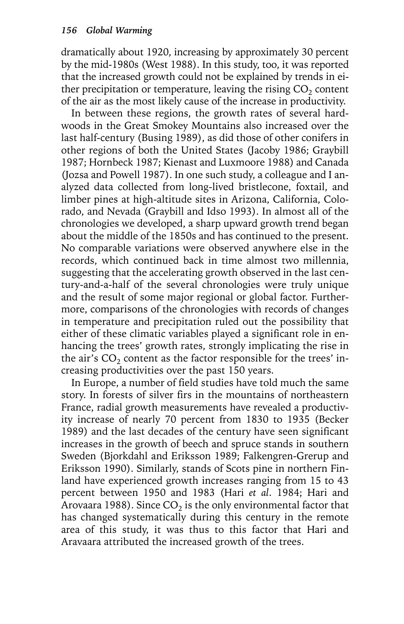dramatically about 1920, increasing by approximately 30 percent by the mid-1980s (West 1988). In this study, too, it was reported that the increased growth could not be explained by trends in either precipitation or temperature, leaving the rising  $CO<sub>2</sub>$  content of the air as the most likely cause of the increase in productivity.

In between these regions, the growth rates of several hardwoods in the Great Smokey Mountains also increased over the last half-century (Busing 1989), as did those of other conifers in other regions of both the United States (Jacoby 1986; Graybill 1987; Hornbeck 1987; Kienast and Luxmoore 1988) and Canada (Jozsa and Powell 1987). In one such study, a colleague and I analyzed data collected from long-lived bristlecone, foxtail, and limber pines at high-altitude sites in Arizona, California, Colorado, and Nevada (Graybill and Idso 1993). In almost all of the chronologies we developed, a sharp upward growth trend began about the middle of the 1850s and has continued to the present. No comparable variations were observed anywhere else in the records, which continued back in time almost two millennia, suggesting that the accelerating growth observed in the last century-and-a-half of the several chronologies were truly unique and the result of some major regional or global factor. Furthermore, comparisons of the chronologies with records of changes in temperature and precipitation ruled out the possibility that either of these climatic variables played a significant role in enhancing the trees' growth rates, strongly implicating the rise in the air's  $CO<sub>2</sub>$  content as the factor responsible for the trees' increasing productivities over the past 150 years.

In Europe, a number of field studies have told much the same story. In forests of silver firs in the mountains of northeastern France, radial growth measurements have revealed a productivity increase of nearly 70 percent from 1830 to 1935 (Becker 1989) and the last decades of the century have seen significant increases in the growth of beech and spruce stands in southern Sweden (Bjorkdahl and Eriksson 1989; Falkengren-Grerup and Eriksson 1990). Similarly, stands of Scots pine in northern Finland have experienced growth increases ranging from 15 to 43 percent between 1950 and 1983 (Hari *et al*. 1984; Hari and Arovaara 1988). Since  $CO<sub>2</sub>$  is the only environmental factor that has changed systematically during this century in the remote area of this study, it was thus to this factor that Hari and Aravaara attributed the increased growth of the trees.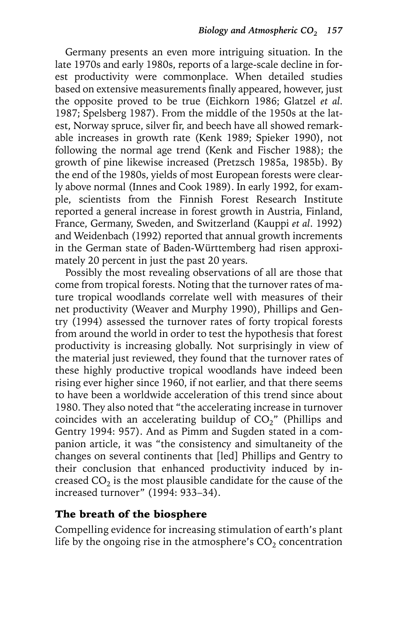Germany presents an even more intriguing situation. In the late 1970s and early 1980s, reports of a large-scale decline in forest productivity were commonplace. When detailed studies based on extensive measurements finally appeared, however, just the opposite proved to be true (Eichkorn 1986; Glatzel *et al*. 1987; Spelsberg 1987). From the middle of the 1950s at the latest, Norway spruce, silver fir, and beech have all showed remarkable increases in growth rate (Kenk 1989; Spieker 1990), not following the normal age trend (Kenk and Fischer 1988); the growth of pine likewise increased (Pretzsch 1985a, 1985b). By the end of the 1980s, yields of most European forests were clearly above normal (Innes and Cook 1989). In early 1992, for example, scientists from the Finnish Forest Research Institute reported a general increase in forest growth in Austria, Finland, France, Germany, Sweden, and Switzerland (Kauppi *et al*. 1992) and Weidenbach (1992) reported that annual growth increments in the German state of Baden-Württemberg had risen approximately 20 percent in just the past 20 years.

Possibly the most revealing observations of all are those that come from tropical forests. Noting that the turnover rates of mature tropical woodlands correlate well with measures of their net productivity (Weaver and Murphy 1990), Phillips and Gentry (1994) assessed the turnover rates of forty tropical forests from around the world in order to test the hypothesis that forest productivity is increasing globally. Not surprisingly in view of the material just reviewed, they found that the turnover rates of these highly productive tropical woodlands have indeed been rising ever higher since 1960, if not earlier, and that there seems to have been a worldwide acceleration of this trend since about 1980. They also noted that "the accelerating increase in turnover coincides with an accelerating buildup of  $CO<sub>2</sub>$ " (Phillips and Gentry 1994: 957). And as Pimm and Sugden stated in a companion article, it was "the consistency and simultaneity of the changes on several continents that [led] Phillips and Gentry to their conclusion that enhanced productivity induced by increased  $CO<sub>2</sub>$  is the most plausible candidate for the cause of the increased turnover" (1994: 933–34).

#### The breath of the biosphere

Compelling evidence for increasing stimulation of earth's plant life by the ongoing rise in the atmosphere's  $CO<sub>2</sub>$  concentration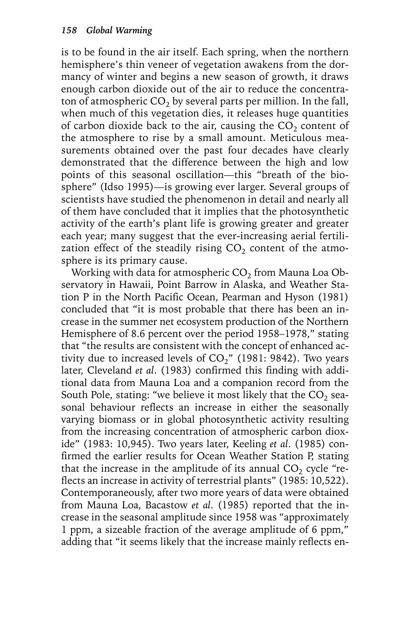is to be found in the air itself. Each spring, when the northern hemisphere's thin veneer of vegetation awakens from the dormancy of winter and begins a new season of growth, it draws enough carbon dioxide out of the air to reduce the concentraton of atmospheric  $CO<sub>2</sub>$  by several parts per million. In the fall, when much of this vegetation dies, it releases huge quantities of carbon dioxide back to the air, causing the  $CO<sub>2</sub>$  content of the atmosphere to rise by a small amount. Meticulous measurements obtained over the past four decades have clearly demonstrated that the difference between the high and low points of this seasonal oscillation—this "breath of the biosphere" (Idso 1995)—is growing ever larger. Several groups of scientists have studied the phenomenon in detail and nearly all of them have concluded that it implies that the photosynthetic activity of the earth's plant life is growing greater and greater each year; many suggest that the ever-increasing aerial fertilization effect of the steadily rising  $CO<sub>2</sub>$  content of the atmosphere is its primary cause.

Working with data for atmospheric  $CO<sub>2</sub>$  from Mauna Loa Observatory in Hawaii, Point Barrow in Alaska, and Weather Station P in the North Pacific Ocean, Pearman and Hyson (1981) concluded that "it is most probable that there has been an increase in the summer net ecosystem production of the Northern Hemisphere of 8.6 percent over the period 1958–1978," stating that "the results are consistent with the concept of enhanced activity due to increased levels of  $CO_2$ " (1981: 9842). Two years later, Cleveland *et al*. (1983) confirmed this finding with additional data from Mauna Loa and a companion record from the South Pole, stating: "we believe it most likely that the  $CO<sub>2</sub>$  seasonal behaviour reflects an increase in either the seasonally varying biomass or in global photosynthetic activity resulting from the increasing concentration of atmospheric carbon dioxide" (1983: 10,945). Two years later, Keeling *et al*. (1985) confirmed the earlier results for Ocean Weather Station P, stating that the increase in the amplitude of its annual  $CO<sub>2</sub>$  cycle "reflects an increase in activity of terrestrial plants" (1985: 10,522). Contemporaneously, after two more years of data were obtained from Mauna Loa, Bacastow *et al*. (1985) reported that the increase in the seasonal amplitude since 1958 was "approximately 1 ppm, a sizeable fraction of the average amplitude of 6 ppm," adding that "it seems likely that the increase mainly reflects en-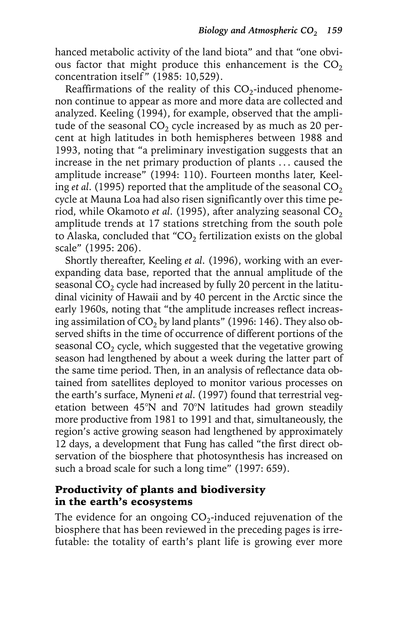hanced metabolic activity of the land biota" and that "one obvious factor that might produce this enhancement is the  $CO<sub>2</sub>$ concentration itself" (1985: 10,529).

Reaffirmations of the reality of this  $CO<sub>2</sub>$ -induced phenomenon continue to appear as more and more data are collected and analyzed. Keeling (1994), for example, observed that the amplitude of the seasonal  $CO<sub>2</sub>$  cycle increased by as much as 20 percent at high latitudes in both hemispheres between 1988 and 1993, noting that "a preliminary investigation suggests that an increase in the net primary production of plants ... caused the amplitude increase" (1994: 110). Fourteen months later, Keeling *et al.* (1995) reported that the amplitude of the seasonal  $CO<sub>2</sub>$ cycle at Mauna Loa had also risen significantly over this time period, while Okamoto *et al.* (1995), after analyzing seasonal  $CO<sub>2</sub>$ amplitude trends at 17 stations stretching from the south pole to Alaska, concluded that "CO<sub>2</sub> fertilization exists on the global scale" (1995: 206).

Shortly thereafter, Keeling *et al*. (1996), working with an everexpanding data base, reported that the annual amplitude of the seasonal  $CO<sub>2</sub>$  cycle had increased by fully 20 percent in the latitudinal vicinity of Hawaii and by 40 percent in the Arctic since the early 1960s, noting that "the amplitude increases reflect increasing assimilation of  $CO<sub>2</sub>$  by land plants" (1996: 146). They also observed shifts in the time of occurrence of different portions of the seasonal  $CO<sub>2</sub>$  cycle, which suggested that the vegetative growing season had lengthened by about a week during the latter part of the same time period. Then, in an analysis of reflectance data obtained from satellites deployed to monitor various processes on the earth's surface, Myneni *et al*. (1997) found that terrestrial vegetation between 45°N and 70°N latitudes had grown steadily more productive from 1981 to 1991 and that, simultaneously, the region's active growing season had lengthened by approximately 12 days, a development that Fung has called "the first direct observation of the biosphere that photosynthesis has increased on such a broad scale for such a long time" (1997: 659).

#### Productivity of plants and biodiversity in the earth's ecosystems

The evidence for an ongoing  $CO_2$ -induced rejuvenation of the biosphere that has been reviewed in the preceding pages is irrefutable: the totality of earth's plant life is growing ever more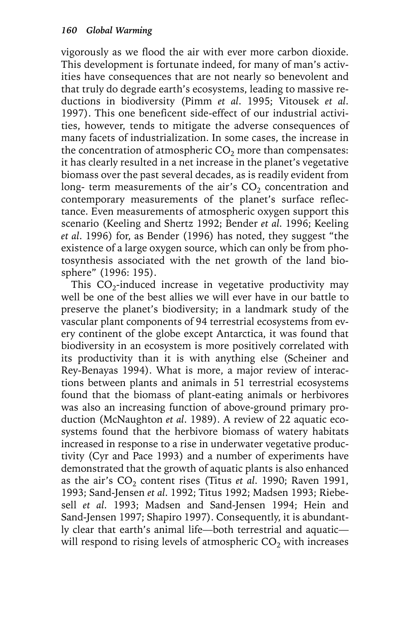vigorously as we flood the air with ever more carbon dioxide. This development is fortunate indeed, for many of man's activities have consequences that are not nearly so benevolent and that truly do degrade earth's ecosystems, leading to massive reductions in biodiversity (Pimm *et al*. 1995; Vitousek *et al*. 1997). This one beneficent side-effect of our industrial activities, however, tends to mitigate the adverse consequences of many facets of industrialization. In some cases, the increase in the concentration of atmospheric  $CO<sub>2</sub>$  more than compensates: it has clearly resulted in a net increase in the planet's vegetative biomass over the past several decades, as is readily evident from long- term measurements of the air's  $CO<sub>2</sub>$  concentration and contemporary measurements of the planet's surface reflectance. Even measurements of atmospheric oxygen support this scenario (Keeling and Shertz 1992; Bender *et al*. 1996; Keeling *et al*. 1996) for, as Bender (1996) has noted, they suggest "the existence of a large oxygen source, which can only be from photosynthesis associated with the net growth of the land biosphere" (1996: 195).

This  $CO<sub>2</sub>$ -induced increase in vegetative productivity may well be one of the best allies we will ever have in our battle to preserve the planet's biodiversity; in a landmark study of the vascular plant components of 94 terrestrial ecosystems from every continent of the globe except Antarctica, it was found that biodiversity in an ecosystem is more positively correlated with its productivity than it is with anything else (Scheiner and Rey-Benayas 1994). What is more, a major review of interactions between plants and animals in 51 terrestrial ecosystems found that the biomass of plant-eating animals or herbivores was also an increasing function of above-ground primary production (McNaughton *et al*. 1989). A review of 22 aquatic ecosystems found that the herbivore biomass of watery habitats increased in response to a rise in underwater vegetative productivity (Cyr and Pace 1993) and a number of experiments have demonstrated that the growth of aquatic plants is also enhanced as the air's CO<sub>2</sub> content rises (Titus *et al.* 1990; Raven 1991, 1993; Sand-Jensen *et al*. 1992; Titus 1992; Madsen 1993; Riebesell *et al*. 1993; Madsen and Sand-Jensen 1994; Hein and Sand-Jensen 1997; Shapiro 1997). Consequently, it is abundantly clear that earth's animal life—both terrestrial and aquatic will respond to rising levels of atmospheric  $CO<sub>2</sub>$  with increases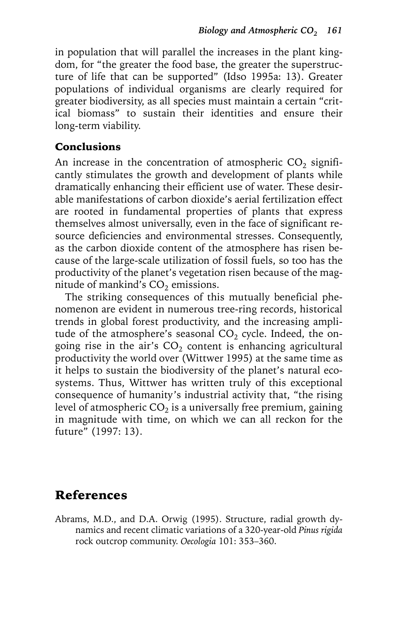in population that will parallel the increases in the plant kingdom, for "the greater the food base, the greater the superstructure of life that can be supported" (Idso 1995a: 13). Greater populations of individual organisms are clearly required for greater biodiversity, as all species must maintain a certain "critical biomass" to sustain their identities and ensure their long-term viability.

#### Conclusions

An increase in the concentration of atmospheric  $CO<sub>2</sub>$  significantly stimulates the growth and development of plants while dramatically enhancing their efficient use of water. These desirable manifestations of carbon dioxide's aerial fertilization effect are rooted in fundamental properties of plants that express themselves almost universally, even in the face of significant resource deficiencies and environmental stresses. Consequently, as the carbon dioxide content of the atmosphere has risen because of the large-scale utilization of fossil fuels, so too has the productivity of the planet's vegetation risen because of the magnitude of mankind's  $CO<sub>2</sub>$  emissions.

The striking consequences of this mutually beneficial phenomenon are evident in numerous tree-ring records, historical trends in global forest productivity, and the increasing amplitude of the atmosphere's seasonal  $CO<sub>2</sub>$  cycle. Indeed, the ongoing rise in the air's  $CO<sub>2</sub>$  content is enhancing agricultural productivity the world over (Wittwer 1995) at the same time as it helps to sustain the biodiversity of the planet's natural ecosystems. Thus, Wittwer has written truly of this exceptional consequence of humanity's industrial activity that, "the rising level of atmospheric  $CO<sub>2</sub>$  is a universally free premium, gaining in magnitude with time, on which we can all reckon for the future" (1997: 13).

# References

Abrams, M.D., and D.A. Orwig (1995). Structure, radial growth dynamics and recent climatic variations of a 320-year-old *Pinus rigida* rock outcrop community. *Oecologia* 101: 353–360.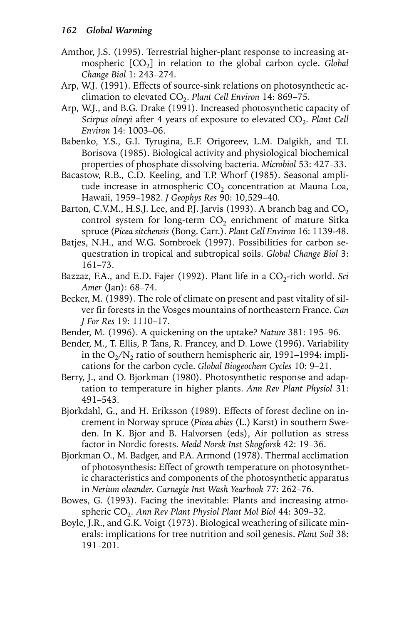- Amthor, J.S. (1995). Terrestrial higher-plant response to increasing atmospheric  $[CO<sub>2</sub>]$  in relation to the global carbon cycle. *Global Change Biol* 1: 243–274.
- Arp, W.J. (1991). Effects of source-sink relations on photosynthetic acclimation to elevated CO2. *Plant Cell Environ* 14: 869–75.
- Arp, W.J., and B.G. Drake (1991). Increased photosynthetic capacity of *Scirpus olneyi* after 4 years of exposure to elevated CO<sub>2</sub>. *Plant Cell Environ* 14: 1003–06.
- Babenko, Y.S., G.I. Tyrugina, E.F. Origoreev, L.M. Dalgikh, and T.I. Borisova (1985). Biological activity and physiological biochemical properties of phosphate dissolving bacteria. *Microbiol* 53: 427–33.
- Bacastow, R.B., C.D. Keeling, and T.P. Whorf (1985). Seasonal amplitude increase in atmospheric  $CO<sub>2</sub>$  concentration at Mauna Loa, Hawaii, 1959–1982. *J Geophys Res* 90: 10,529–40.
- Barton, C.V.M., H.S.J. Lee, and P.J. Jarvis (1993). A branch bag and  $CO<sub>2</sub>$ control system for long-term  $CO<sub>2</sub>$  enrichment of mature Sitka spruce (*Picea sitchensis* (Bong. Carr.). *Plant Cell Environ* 16: 1139-48.
- Batjes, N.H., and W.G. Sombroek (1997). Possibilities for carbon sequestration in tropical and subtropical soils. *Global Change Biol* 3: 161–73.
- Bazzaz, F.A., and E.D. Fajer (1992). Plant life in a CO<sub>2</sub>-rich world. *Sci Amer* (Jan): 68–74.
- Becker, M. (1989). The role of climate on present and past vitality of silver fir forests in the Vosges mountains of northeastern France. *Can J For Res* 19: 1110–17.
- Bender, M. (1996). A quickening on the uptake? *Nature* 381: 195–96.
- Bender, M., T. Ellis, P. Tans, R. Francey, and D. Lowe (1996). Variability in the  $O<sub>2</sub>/N<sub>2</sub>$  ratio of southern hemispheric air, 1991–1994: implications for the carbon cycle. *Global Biogeochem Cycles* 10: 9–21.
- Berry, J., and O. Bjorkman (1980). Photosynthetic response and adaptation to temperature in higher plants. *Ann Rev Plant Physiol* 31: 491–543.
- Bjorkdahl, G., and H. Eriksson (1989). Effects of forest decline on increment in Norway spruce (*Picea abies* (L.) Karst) in southern Sweden. In K. Bjor and B. Halvorsen (eds), Air pollution as stress factor in Nordic forests. *Medd Norsk Inst Skogforsk* 42: 19–36.
- Bjorkman O., M. Badger, and P.A. Armond (1978). Thermal acclimation of photosynthesis: Effect of growth temperature on photosynthetic characteristics and components of the photosynthetic apparatus in *Nerium oleander*. *Carnegie Inst Wash Yearbook* 77: 262–76.
- Bowes, G. (1993). Facing the inevitable: Plants and increasing atmospheric CO<sub>2</sub>. Ann Rev Plant Physiol Plant Mol Biol 44: 309-32.
- Boyle, J.R., and G.K. Voigt (1973). Biological weathering of silicate minerals: implications for tree nutrition and soil genesis. *Plant Soil* 38: 191–201.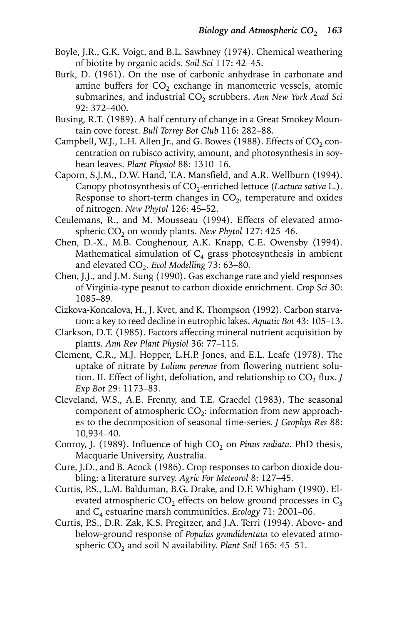- Boyle, J.R., G.K. Voigt, and B.L. Sawhney (1974). Chemical weathering of biotite by organic acids. *Soil Sci* 117: 42–45.
- Burk, D. (1961). On the use of carbonic anhydrase in carbonate and amine buffers for  $CO<sub>2</sub>$  exchange in manometric vessels, atomic submarines, and industrial CO<sub>2</sub> scrubbers. Ann New York Acad Sci 92: 372–400.
- Busing, R.T. (1989). A half century of change in a Great Smokey Mountain cove forest. *Bull Torrey Bot Club* 116: 282–88.
- Campbell, W.J., L.H. Allen Jr., and G. Bowes (1988). Effects of  $CO<sub>2</sub>$  concentration on rubisco activity, amount, and photosynthesis in soybean leaves. *Plant Physiol* 88: 1310–16.
- Caporn, S.J.M., D.W. Hand, T.A. Mansfield, and A.R. Wellburn (1994). Canopy photosynthesis of CO<sub>2</sub>-enriched lettuce (Lactuca sativa L.). Response to short-term changes in  $CO<sub>2</sub>$ , temperature and oxides of nitrogen. *New Phytol* 126: 45–52.
- Ceulemans, R., and M. Mousseau (1994). Effects of elevated atmospheric CO<sub>2</sub> on woody plants. *New Phytol* 127: 425-46.
- Chen, D.-X., M.B. Coughenour, A.K. Knapp, C.E. Owensby (1994). Mathematical simulation of  $C_4$  grass photosynthesis in ambient and elevated CO<sub>2</sub>. *Ecol Modelling* 73: 63-80.
- Chen, J.J., and J.M. Sung (1990). Gas exchange rate and yield responses of Virginia-type peanut to carbon dioxide enrichment. *Crop Sci* 30: 1085–89.
- Cizkova-Koncalova, H., J. Kvet, and K. Thompson (1992). Carbon starvation: a key to reed decline in eutrophic lakes. *Aquatic Bot* 43: 105–13.
- Clarkson, D.T. (1985). Factors affecting mineral nutrient acquisition by plants. *Ann Rev Plant Physiol* 36: 77–115.
- Clement, C.R., M.J. Hopper, L.H.P. Jones, and E.L. Leafe (1978). The uptake of nitrate by *Lolium perenne* from flowering nutrient solution. II. Effect of light, defoliation, and relationship to CO<sub>2</sub> flux. *J Exp Bot* 29: 1173–83.
- Cleveland, W.S., A.E. Frenny, and T.E. Graedel (1983). The seasonal component of atmospheric  $CO<sub>2</sub>$ : information from new approaches to the decomposition of seasonal time-series. *J Geophys Res* 88: 10,934–40.
- Conroy, J. (1989). Influence of high CO<sub>2</sub> on *Pinus radiata*. PhD thesis, Macquarie University, Australia.
- Cure, J.D., and B. Acock (1986). Crop responses to carbon dioxide doubling: a literature survey. *Agric For Meteorol* 8: 127–45.
- Curtis, P.S., L.M. Balduman, B.G. Drake, and D.F. Whigham (1990). Elevated atmospheric  $CO<sub>2</sub>$  effects on below ground processes in  $C<sub>3</sub>$ and C4 estuarine marsh communities. *Ecology* 71: 2001–06.
- Curtis, P.S., D.R. Zak, K.S. Pregitzer, and J.A. Terri (1994). Above- and below-ground response of *Populus grandidentata* to elevated atmospheric CO<sub>2</sub> and soil N availability. *Plant Soil* 165: 45-51.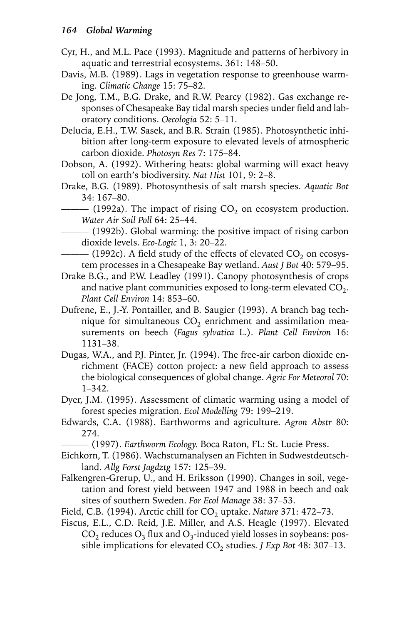- Cyr, H., and M.L. Pace (1993). Magnitude and patterns of herbivory in aquatic and terrestrial ecosystems. 361: 148–50.
- Davis, M.B. (1989). Lags in vegetation response to greenhouse warming. *Climatic Change* 15: 75–82.
- De Jong, T.M., B.G. Drake, and R.W. Pearcy (1982). Gas exchange responses of Chesapeake Bay tidal marsh species under field and laboratory conditions. *Oecologia* 52: 5–11.
- Delucia, E.H., T.W. Sasek, and B.R. Strain (1985). Photosynthetic inhibition after long-term exposure to elevated levels of atmospheric carbon dioxide. *Photosyn Res* 7: 175–84.
- Dobson, A. (1992). Withering heats: global warming will exact heavy toll on earth's biodiversity. *Nat Hist* 101, 9: 2–8.
- Drake, B.G. (1989). Photosynthesis of salt marsh species. *Aquatic Bot* 34: 167–80.
- $-$  (1992a). The impact of rising  $CO<sub>2</sub>$  on ecosystem production. *Water Air Soil Poll* 64: 25–44.
	- ——— (1992b). Global warming: the positive impact of rising carbon dioxide levels. *Eco-Logic* 1, 3: 20–22.
- $-$  (1992c). A field study of the effects of elevated CO<sub>2</sub> on ecosystem processes in a Chesapeake Bay wetland. *Aust J Bot* 40: 579–95.
- Drake B.G., and P.W. Leadley (1991). Canopy photosynthesis of crops and native plant communities exposed to long-term elevated  $CO<sub>2</sub>$ . *Plant Cell Environ* 14: 853–60.
- Dufrene, E., J.-Y. Pontailler, and B. Saugier (1993). A branch bag technique for simultaneous  $CO<sub>2</sub>$  enrichment and assimilation measurements on beech (*Fagus sylvatica* L.). *Plant Cell Environ* 16: 1131–38.
- Dugas, W.A., and P.J. Pinter, Jr. (1994). The free-air carbon dioxide enrichment (FACE) cotton project: a new field approach to assess the biological consequences of global change. *Agric For Meteorol* 70: 1–342.
- Dyer, J.M. (1995). Assessment of climatic warming using a model of forest species migration. *Ecol Modelling* 79: 199–219.
- Edwards, C.A. (1988). Earthworms and agriculture. *Agron Abstr* 80: 274.
	- ——— (1997). *Earthworm Ecology*. Boca Raton, FL: St. Lucie Press.
- Eichkorn, T. (1986). Wachstumanalysen an Fichten in Sudwestdeutschland. *Allg Forst Jagdztg* 157: 125–39.
- Falkengren-Grerup, U., and H. Eriksson (1990). Changes in soil, vegetation and forest yield between 1947 and 1988 in beech and oak sites of southern Sweden. *For Ecol Manage* 38: 37–53.
- Field, C.B. (1994). Arctic chill for CO<sub>2</sub> uptake. *Nature* 371: 472-73.
- Fiscus, E.L., C.D. Reid, J.E. Miller, and A.S. Heagle (1997). Elevated  $CO<sub>2</sub>$  reduces  $O<sub>3</sub>$  flux and  $O<sub>3</sub>$ -induced yield losses in soybeans: possible implications for elevated  $CO<sub>2</sub>$  studies. *J Exp Bot* 48: 307–13.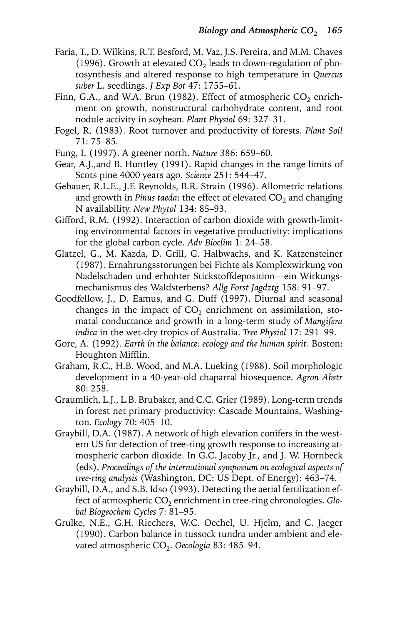- Faria, T., D. Wilkins, R.T. Besford, M. Vaz, J.S. Pereira, and M.M. Chaves (1996). Growth at elevated  $CO<sub>2</sub>$  leads to down-regulation of photosynthesis and altered response to high temperature in *Quercus suber* L. seedlings. *J Exp Bot* 47: 1755–61.
- Finn, G.A., and W.A. Brun (1982). Effect of atmospheric  $CO<sub>2</sub>$  enrichment on growth, nonstructural carbohydrate content, and root nodule activity in soybean. *Plant Physiol* 69: 327–31.
- Fogel, R. (1983). Root turnover and productivity of forests. *Plant Soil* 71: 75–85.
- Fung, I. (1997). A greener north. *Nature* 386: 659–60.
- Gear, A.J.,and B. Huntley (1991). Rapid changes in the range limits of Scots pine 4000 years ago. *Science* 251: 544–47.
- Gebauer, R.L.E., J.F. Reynolds, B.R. Strain (1996). Allometric relations and growth in *Pinus taeda*: the effect of elevated CO<sub>2</sub> and changing N availability. *New Phytol* 134: 85–93.
- Gifford, R.M. (1992). Interaction of carbon dioxide with growth-limiting environmental factors in vegetative productivity: implications for the global carbon cycle. *Adv Bioclim* 1: 24–58.
- Glatzel, G., M. Kazda, D. Grill, G. Halbwachs, and K. Katzensteiner (1987). Ernahrungsstorungen bei Fichte als Komplexwirkung von Nadelschaden und erhohter Stickstoffdeposition—ein Wirkungsmechanismus des Waldsterbens? *Allg Forst Jagdztg* 158: 91–97.
- Goodfellow, J., D. Eamus, and G. Duff (1997). Diurnal and seasonal changes in the impact of  $CO<sub>2</sub>$  enrichment on assimilation, stomatal conductance and growth in a long-term study of *Mangifera indica* in the wet-dry tropics of Australia. *Tree Physiol* 17: 291–99.
- Gore, A. (1992). *Earth in the balance: ecology and the human spirit*. Boston: Houghton Mifflin.
- Graham, R.C., H.B. Wood, and M.A. Lueking (1988). Soil morphologic development in a 40-year-old chaparral biosequence. *Agron Abstr* 80: 258.
- Graumlich, L.J., L.B. Brubaker, and C.C. Grier (1989). Long-term trends in forest net primary productivity: Cascade Mountains, Washington. *Ecology* 70: 405–10.
- Graybill, D.A. (1987). A network of high elevation conifers in the western US for detection of tree-ring growth response to increasing atmospheric carbon dioxide. In G.C. Jacoby Jr., and J. W. Hornbeck (eds), *Proceedings of the international symposium on ecological aspects of tree-ring analysis* (Washington, DC: US Dept. of Energy): 463–74.
- Graybill, D.A., and S.B. Idso (1993). Detecting the aerial fertilization effect of atmospheric CO<sub>2</sub> enrichment in tree-ring chronologies. *Global Biogeochem Cycles* 7: 81–95.
- Grulke, N.E., G.H. Riechers, W.C. Oechel, U. Hjelm, and C. Jaeger (1990). Carbon balance in tussock tundra under ambient and elevated atmospheric CO<sub>2</sub>. Oecologia 83: 485-94.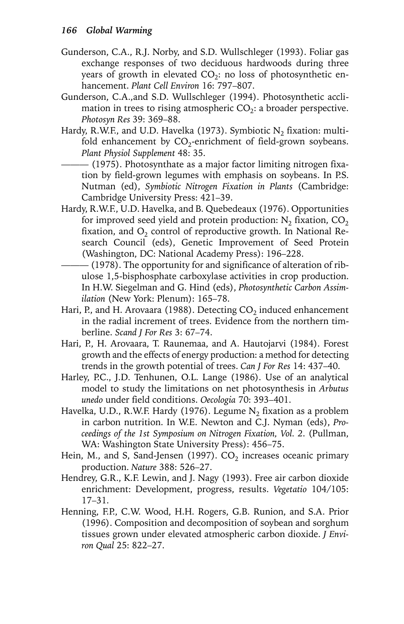- Gunderson, C.A., R.J. Norby, and S.D. Wullschleger (1993). Foliar gas exchange responses of two deciduous hardwoods during three years of growth in elevated  $CO<sub>2</sub>$ : no loss of photosynthetic enhancement. *Plant Cell Environ* 16: 797–807.
- Gunderson, C.A.,and S.D. Wullschleger (1994). Photosynthetic acclimation in trees to rising atmospheric  $CO<sub>2</sub>$ : a broader perspective. *Photosyn Res* 39: 369–88.
- Hardy, R.W.F., and U.D. Havelka (1973). Symbiotic  $N<sub>2</sub>$  fixation: multifold enhancement by  $CO_2$ -enrichment of field-grown soybeans. *Plant Physiol Supplement* 48: 35.
	- $-$  (1975). Photosynthate as a major factor limiting nitrogen fixation by field-grown legumes with emphasis on soybeans. In P.S. Nutman (ed), *Symbiotic Nitrogen Fixation in Plants* (Cambridge: Cambridge University Press: 421–39.
- Hardy, R.W.F., U.D. Havelka, and B. Quebedeaux (1976). Opportunities for improved seed yield and protein production:  $N_2$  fixation,  $CO_2$ fixation, and  $O<sub>2</sub>$  control of reproductive growth. In National Research Council (eds), Genetic Improvement of Seed Protein (Washington, DC: National Academy Press): 196–228.
- $-$  (1978). The opportunity for and significance of alteration of ribulose 1,5-bisphosphate carboxylase activities in crop production. In H.W. Siegelman and G. Hind (eds), *Photosynthetic Carbon Assimilation* (New York: Plenum): 165–78.
- Hari, P., and H. Arovaara (1988). Detecting  $CO<sub>2</sub>$  induced enhancement in the radial increment of trees. Evidence from the northern timberline. *Scand J For Res* 3: 67–74.
- Hari, P., H. Arovaara, T. Raunemaa, and A. Hautojarvi (1984). Forest growth and the effects of energy production: a method for detecting trends in the growth potential of trees. *Can J For Res* 14: 437–40.
- Harley, P.C., J.D. Tenhunen, O.L. Lange (1986). Use of an analytical model to study the limitations on net photosynthesis in *Arbutus unedo* under field conditions. *Oecologia* 70: 393–401.
- Havelka, U.D., R.W.F. Hardy (1976). Legume  $N_2$  fixation as a problem in carbon nutrition. In W.E. Newton and C.J. Nyman (eds), *Proceedings of the 1st Symposium on Nitrogen Fixation, Vol. 2*. (Pullman, WA: Washington State University Press): 456–75.
- Hein, M., and S, Sand-Jensen (1997).  $CO<sub>2</sub>$  increases oceanic primary production. *Nature* 388: 526–27.
- Hendrey, G.R., K.F. Lewin, and J. Nagy (1993). Free air carbon dioxide enrichment: Development, progress, results. *Vegetatio* 104/105: 17–31.
- Henning, F.P., C.W. Wood, H.H. Rogers, G.B. Runion, and S.A. Prior (1996). Composition and decomposition of soybean and sorghum tissues grown under elevated atmospheric carbon dioxide. *J Environ Qual* 25: 822–27.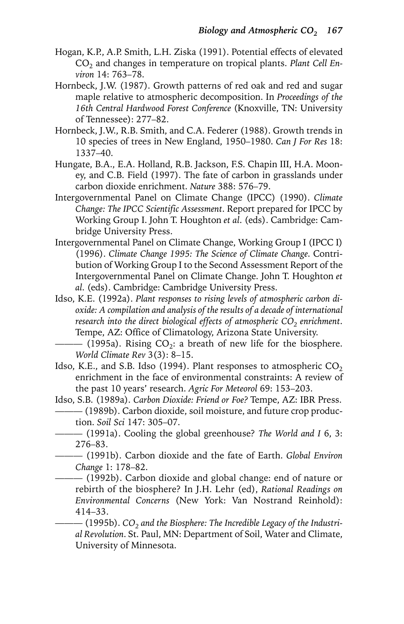- Hogan, K.P., A.P. Smith, L.H. Ziska (1991). Potential effects of elevated CO2 and changes in temperature on tropical plants. *Plant Cell Environ* 14: 763–78.
- Hornbeck, J.W. (1987). Growth patterns of red oak and red and sugar maple relative to atmospheric decomposition. In *Proceedings of the 16th Central Hardwood Forest Conference* (Knoxville, TN: University of Tennessee): 277–82.
- Hornbeck, J.W., R.B. Smith, and C.A. Federer (1988). Growth trends in 10 species of trees in New England, 1950–1980. *Can J For Res* 18: 1337–40.
- Hungate, B.A., E.A. Holland, R.B. Jackson, F.S. Chapin III, H.A. Mooney, and C.B. Field (1997). The fate of carbon in grasslands under carbon dioxide enrichment. *Nature* 388: 576–79.
- Intergovernmental Panel on Climate Change (IPCC) (1990). *Climate Change: The IPCC Scientific Assessment*. Report prepared for IPCC by Working Group I. John T. Houghton *et al*. (eds). Cambridge: Cambridge University Press.
- Intergovernmental Panel on Climate Change, Working Group I (IPCC I) (1996). *Climate Change 1995: The Science of Climate Change*. Contribution of Working Group I to the Second Assessment Report of the Intergovernmental Panel on Climate Change. John T. Houghton *et al*. (eds). Cambridge: Cambridge University Press.
- Idso, K.E. (1992a). *Plant responses to rising levels of atmospheric carbon dioxide: A compilation and analysis of the results of a decade of international research into the direct biological effects of atmospheric CO<sub>2</sub> enrichment.* Tempe, AZ: Office of Climatology, Arizona State University.
	- $-$  (1995a). Rising CO<sub>2</sub>: a breath of new life for the biosphere. *World Climate Rev* 3(3): 8–15.
- Idso, K.E., and S.B. Idso (1994). Plant responses to atmospheric  $CO<sub>2</sub>$ enrichment in the face of environmental constraints: A review of the past 10 years' research. *Agric For Meteorol* 69: 153–203.
- Idso, S.B. (1989a). *Carbon Dioxide: Friend or Foe?* Tempe, AZ: IBR Press. ——— (1989b). Carbon dioxide, soil moisture, and future crop production. *Soil Sci* 147: 305–07.
- ——— (1991a). Cooling the global greenhouse? *The World and I* 6, 3: 276–83.
- ——— (1991b). Carbon dioxide and the fate of Earth. *Global Environ Change* 1: 178–82.
	- ——— (1992b). Carbon dioxide and global change: end of nature or rebirth of the biosphere? In J.H. Lehr (ed), *Rational Readings on Environmental Concerns* (New York: Van Nostrand Reinhold): 414–33.
- ——— (1995b). CO<sub>2</sub> and the Biosphere: The Incredible Legacy of the Industri*al Revolution*. St. Paul, MN: Department of Soil, Water and Climate, University of Minnesota.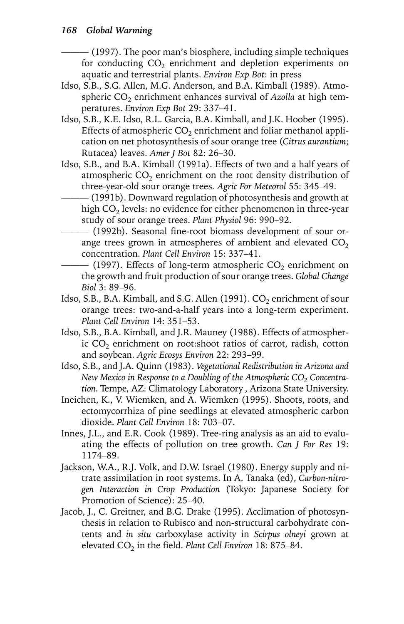$-$  (1997). The poor man's biosphere, including simple techniques for conducting  $CO<sub>2</sub>$  enrichment and depletion experiments on aquatic and terrestrial plants. *Environ Exp Bot*: in press

- Idso, S.B., S.G. Allen, M.G. Anderson, and B.A. Kimball (1989). Atmospheric CO<sub>2</sub> enrichment enhances survival of *Azolla* at high temperatures. *Environ Exp Bot* 29: 337–41.
- Idso, S.B., K.E. Idso, R.L. Garcia, B.A. Kimball, and J.K. Hoober (1995). Effects of atmospheric  $CO<sub>2</sub>$  enrichment and foliar methanol application on net photosynthesis of sour orange tree (*Citrus aurantium*; Rutacea) leaves. *Amer J Bot* 82: 26–30.
- Idso, S.B., and B.A. Kimball (1991a). Effects of two and a half years of atmospheric  $CO<sub>2</sub>$  enrichment on the root density distribution of three-year-old sour orange trees. *Agric For Meteorol* 55: 345–49.
	- $-$  (1991b). Downward regulation of photosynthesis and growth at high  $CO<sub>2</sub>$  levels: no evidence for either phenomenon in three-year study of sour orange trees. *Plant Physiol* 96: 990–92.
	- ——— (1992b). Seasonal fine-root biomass development of sour orange trees grown in atmospheres of ambient and elevated  $CO<sub>2</sub>$ concentration. *Plant Cell Environ* 15: 337–41.
	- $-$  (1997). Effects of long-term atmospheric CO<sub>2</sub> enrichment on the growth and fruit production of sour orange trees. *Global Change Biol* 3: 89–96.
- Idso, S.B., B.A. Kimball, and S.G. Allen (1991).  $CO_2$  enrichment of sour orange trees: two-and-a-half years into a long-term experiment. *Plant Cell Environ* 14: 351–53.
- Idso, S.B., B.A. Kimball, and J.R. Mauney (1988). Effects of atmospheric  $CO<sub>2</sub>$  enrichment on root: shoot ratios of carrot, radish, cotton and soybean. *Agric Ecosys Environ* 22: 293–99.
- Idso, S.B., and J.A. Quinn (1983). *Vegetational Redistribution in Arizona and* New Mexico in Response to a Doubling of the Atmospheric CO<sub>2</sub> Concentra*tion*. Tempe, AZ: Climatology Laboratory , Arizona State University.
- Ineichen, K., V. Wiemken, and A. Wiemken (1995). Shoots, roots, and ectomycorrhiza of pine seedlings at elevated atmospheric carbon dioxide. *Plant Cell Environ* 18: 703–07.
- Innes, J.L., and E.R. Cook (1989). Tree-ring analysis as an aid to evaluating the effects of pollution on tree growth. *Can J For Res* 19: 1174–89.
- Jackson, W.A., R.J. Volk, and D.W. Israel (1980). Energy supply and nitrate assimilation in root systems. In A. Tanaka (ed), *Carbon-nitrogen Interaction in Crop Production* (Tokyo: Japanese Society for Promotion of Science): 25–40.
- Jacob, J., C. Greitner, and B.G. Drake (1995). Acclimation of photosynthesis in relation to Rubisco and non-structural carbohydrate contents and *in situ* carboxylase activity in *Scirpus olneyi* grown at elevated CO<sub>2</sub> in the field. *Plant Cell Environ* 18: 875–84.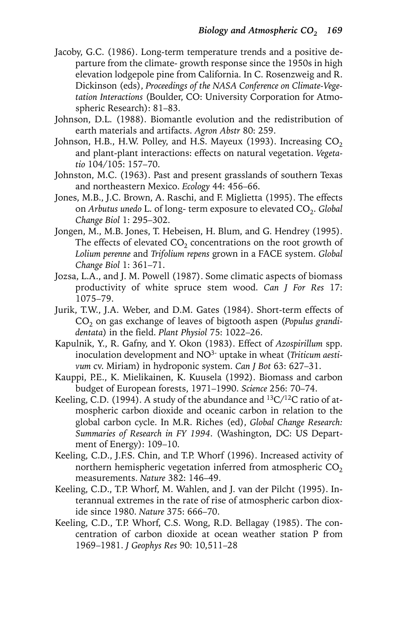- Jacoby, G.C. (1986). Long-term temperature trends and a positive departure from the climate- growth response since the 1950s in high elevation lodgepole pine from California. In C. Rosenzweig and R. Dickinson (eds), *Proceedings of the NASA Conference on Climate-Vegetation Interactions* (Boulder, CO: University Corporation for Atmospheric Research): 81–83.
- Johnson, D.L. (1988). Biomantle evolution and the redistribution of earth materials and artifacts. *Agron Abstr* 80: 259.
- Johnson, H.B., H.W. Polley, and H.S. Mayeux (1993). Increasing  $CO<sub>2</sub>$ and plant-plant interactions: effects on natural vegetation. *Vegetatio* 104/105: 157–70.
- Johnston, M.C. (1963). Past and present grasslands of southern Texas and northeastern Mexico. *Ecology* 44: 456–66.
- Jones, M.B., J.C. Brown, A. Raschi, and F. Miglietta (1995). The effects on *Arbutus unedo* L. of long- term exposure to elevated CO<sub>2</sub>. *Global Change Biol* 1: 295–302.
- Jongen, M., M.B. Jones, T. Hebeisen, H. Blum, and G. Hendrey (1995). The effects of elevated  $CO<sub>2</sub>$  concentrations on the root growth of *Lolium perenne* and *Trifolium repens* grown in a FACE system. *Global Change Biol* 1: 361–71.
- Jozsa, L.A., and J. M. Powell (1987). Some climatic aspects of biomass productivity of white spruce stem wood. *Can J For Res* 17: 1075–79.
- Jurik, T.W., J.A. Weber, and D.M. Gates (1984). Short-term effects of CO<sub>2</sub> on gas exchange of leaves of bigtooth aspen (*Populus grandidentata*) in the field. *Plant Physiol* 75: 1022–26.
- Kapulnik, Y., R. Gafny, and Y. Okon (1983). Effect of *Azospirillum* spp. inoculation development and NO3- uptake in wheat (*Triticum aestivum* cv. Miriam) in hydroponic system. *Can J Bot* 63: 627–31.
- Kauppi, P.E., K. Mielikainen, K. Kuusela (1992). Biomass and carbon budget of European forests, 1971–1990. *Science* 256: 70–74.
- Keeling, C.D. (1994). A study of the abundance and  $^{13}C/^{12}C$  ratio of atmospheric carbon dioxide and oceanic carbon in relation to the global carbon cycle. In M.R. Riches (ed), *Global Change Research: Summaries of Research in FY 1994*. (Washington, DC: US Department of Energy): 109–10.
- Keeling, C.D., J.F.S. Chin, and T.P. Whorf (1996). Increased activity of northern hemispheric vegetation inferred from atmospheric  $CO<sub>2</sub>$ measurements. *Nature* 382: 146–49.
- Keeling, C.D., T.P. Whorf, M. Wahlen, and J. van der Pilcht (1995). Interannual extremes in the rate of rise of atmospheric carbon dioxide since 1980. *Nature* 375: 666–70.
- Keeling, C.D., T.P. Whorf, C.S. Wong, R.D. Bellagay (1985). The concentration of carbon dioxide at ocean weather station P from 1969–1981. *J Geophys Res* 90: 10,511–28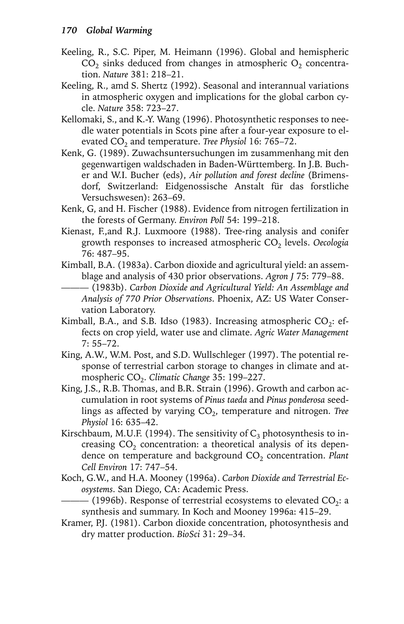- Keeling, R., S.C. Piper, M. Heimann (1996). Global and hemispheric  $CO<sub>2</sub>$  sinks deduced from changes in atmospheric  $O<sub>2</sub>$  concentration. *Nature* 381: 218–21.
- Keeling, R., amd S. Shertz (1992). Seasonal and interannual variations in atmospheric oxygen and implications for the global carbon cycle. *Nature* 358: 723–27.
- Kellomaki, S., and K.-Y. Wang (1996). Photosynthetic responses to needle water potentials in Scots pine after a four-year exposure to elevated CO<sub>2</sub> and temperature. Tree Physiol 16: 765-72.
- Kenk, G. (1989). Zuwachsuntersuchungen im zusammenhang mit den gegenwartigen waldschaden in Baden-Württemberg. In J.B. Bucher and W.I. Bucher (eds), *Air pollution and forest decline* (Brimensdorf, Switzerland: Eidgenossische Anstalt für das forstliche Versuchswesen): 263–69.
- Kenk, G, and H. Fischer (1988). Evidence from nitrogen fertilization in the forests of Germany. *Environ Poll* 54: 199–218.
- Kienast, F.,and R.J. Luxmoore (1988). Tree-ring analysis and conifer growth responses to increased atmospheric CO<sub>2</sub> levels. Oecologia 76: 487–95.
- Kimball, B.A. (1983a). Carbon dioxide and agricultural yield: an assemblage and analysis of 430 prior observations. *Agron J* 75: 779–88.
	- ——— (1983b). *Carbon Dioxide and Agricultural Yield: An Assemblage and Analysis of 770 Prior Observations*. Phoenix, AZ: US Water Conservation Laboratory.
- Kimball, B.A., and S.B. Idso (1983). Increasing atmospheric  $CO_2$ : effects on crop yield, water use and climate. *Agric Water Management* 7: 55–72.
- King, A.W., W.M. Post, and S.D. Wullschleger (1997). The potential response of terrestrial carbon storage to changes in climate and atmospheric CO<sub>2</sub>. *Climatic Change* 35: 199–227.
- King, J.S., R.B. Thomas, and B.R. Strain (1996). Growth and carbon accumulation in root systems of *Pinus taeda* and *Pinus ponderosa* seedlings as affected by varying CO<sub>2</sub>, temperature and nitrogen. Tree *Physiol* 16: 635–42.
- Kirschbaum, M.U.F. (1994). The sensitivity of  $C_3$  photosynthesis to increasing  $CO<sub>2</sub>$  concentration: a theoretical analysis of its dependence on temperature and background CO<sub>2</sub> concentration. *Plant Cell Environ* 17: 747–54.
- Koch, G.W., and H.A. Mooney (1996a). *Carbon Dioxide and Terrestrial Ecosystems*. San Diego, CA: Academic Press.
	- $-$  (1996b). Response of terrestrial ecosystems to elevated CO<sub>2</sub>: a synthesis and summary. In Koch and Mooney 1996a: 415–29.
- Kramer, P.J. (1981). Carbon dioxide concentration, photosynthesis and dry matter production. *BioSci* 31: 29–34.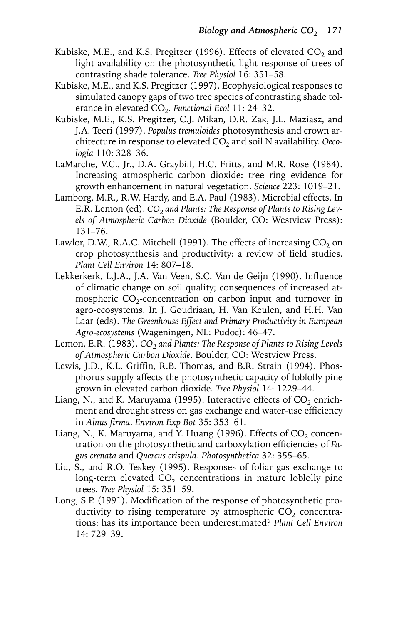- Kubiske, M.E., and K.S. Pregitzer (1996). Effects of elevated  $CO<sub>2</sub>$  and light availability on the photosynthetic light response of trees of contrasting shade tolerance. *Tree Physiol* 16: 351–58.
- Kubiske, M.E., and K.S. Pregitzer (1997). Ecophysiological responses to simulated canopy gaps of two tree species of contrasting shade tolerance in elevated CO<sub>2</sub>. *Functional Ecol* 11: 24-32.
- Kubiske, M.E., K.S. Pregitzer, C.J. Mikan, D.R. Zak, J.L. Maziasz, and J.A. Teeri (1997). *Populus tremuloides* photosynthesis and crown architecture in response to elevated CO<sub>2</sub> and soil N availability. *Oecologia* 110: 328–36.
- LaMarche, V.C., Jr., D.A. Graybill, H.C. Fritts, and M.R. Rose (1984). Increasing atmospheric carbon dioxide: tree ring evidence for growth enhancement in natural vegetation. *Science* 223: 1019–21.
- Lamborg, M.R., R.W. Hardy, and E.A. Paul (1983). Microbial effects. In E.R. Lemon (ed). *CO<sub>2</sub>* and Plants: The Response of Plants to Rising Lev*els of Atmospheric Carbon Dioxide* (Boulder, CO: Westview Press): 131–76.
- Lawlor, D.W., R.A.C. Mitchell (1991). The effects of increasing  $CO<sub>2</sub>$  on crop photosynthesis and productivity: a review of field studies. *Plant Cell Environ* 14: 807–18.
- Lekkerkerk, L.J.A., J.A. Van Veen, S.C. Van de Geijn (1990). Influence of climatic change on soil quality; consequences of increased atmospheric  $CO_2$ -concentration on carbon input and turnover in agro-ecosystems. In J. Goudriaan, H. Van Keulen, and H.H. Van Laar (eds). *The Greenhouse Effect and Primary Productivity in European Agro-ecosystems* (Wageningen, NL: Pudoc): 46–47.
- Lemon, E.R. (1983). *CO<sub>2</sub>* and Plants: The Response of Plants to Rising Levels *of Atmospheric Carbon Dioxide*. Boulder, CO: Westview Press.
- Lewis, J.D., K.L. Griffin, R.B. Thomas, and B.R. Strain (1994). Phosphorus supply affects the photosynthetic capacity of loblolly pine grown in elevated carbon dioxide. *Tree Physiol* 14: 1229–44.
- Liang, N., and K. Maruyama (1995). Interactive effects of  $CO<sub>2</sub>$  enrichment and drought stress on gas exchange and water-use efficiency in *Alnus firma*. *Environ Exp Bot* 35: 353–61.
- Liang, N., K. Maruyama, and Y. Huang (1996). Effects of  $CO<sub>2</sub>$  concentration on the photosynthetic and carboxylation efficiencies of *Fagus crenata* and *Quercus crispula*. *Photosynthetica* 32: 355–65.
- Liu, S., and R.O. Teskey (1995). Responses of foliar gas exchange to long-term elevated  $CO<sub>2</sub>$  concentrations in mature loblolly pine trees. *Tree Physiol* 15: 351–59.
- Long, S.P. (1991). Modification of the response of photosynthetic productivity to rising temperature by atmospheric  $CO<sub>2</sub>$  concentrations: has its importance been underestimated? *Plant Cell Environ* 14: 729–39.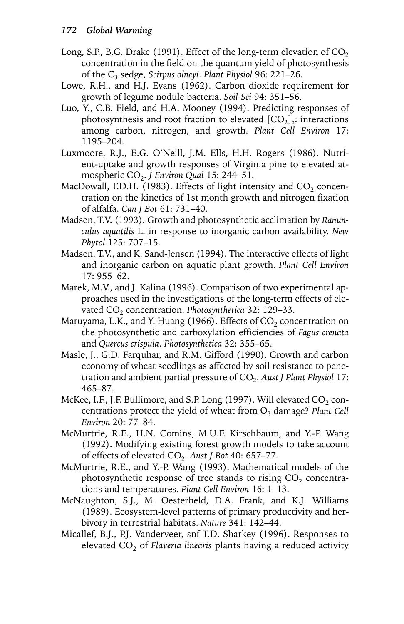- Long, S.P., B.G. Drake (1991). Effect of the long-term elevation of  $CO<sub>2</sub>$ concentration in the field on the quantum yield of photosynthesis of the C3 sedge, *Scirpus olneyi*. *Plant Physiol* 96: 221–26.
- Lowe, R.H., and H.J. Evans (1962). Carbon dioxide requirement for growth of legume nodule bacteria. *Soil Sci* 94: 351–56.
- Luo, Y., C.B. Field, and H.A. Mooney (1994). Predicting responses of photosynthesis and root fraction to elevated  $[CO<sub>2</sub>]$ : interactions among carbon, nitrogen, and growth. *Plant Cell Environ* 17: 1195–204.
- Luxmoore, R.J., E.G. O'Neill, J.M. Ells, H.H. Rogers (1986). Nutrient-uptake and growth responses of Virginia pine to elevated atmospheric CO<sub>2</sub>. *J Environ Qual* 15: 244-51.
- MacDowall, F.D.H. (1983). Effects of light intensity and  $CO<sub>2</sub>$  concentration on the kinetics of 1st month growth and nitrogen fixation of alfalfa. *Can J Bot* 61: 731–40.
- Madsen, T.V. (1993). Growth and photosynthetic acclimation by *Ranunculus aquatilis* L. in response to inorganic carbon availability. *New Phytol* 125: 707–15.
- Madsen, T.V., and K. Sand-Jensen (1994). The interactive effects of light and inorganic carbon on aquatic plant growth. *Plant Cell Environ* 17: 955–62.
- Marek, M.V., and J. Kalina (1996). Comparison of two experimental approaches used in the investigations of the long-term effects of elevated CO<sub>2</sub> concentration. *Photosynthetica* 32: 129-33.
- Maruyama, L.K., and Y. Huang (1966). Effects of  $CO<sub>2</sub>$  concentration on the photosynthetic and carboxylation efficiencies of *Fagus crenata* and *Quercus crispula*. *Photosynthetica* 32: 355–65.
- Masle, J., G.D. Farquhar, and R.M. Gifford (1990). Growth and carbon economy of wheat seedlings as affected by soil resistance to penetration and ambient partial pressure of CO<sub>2</sub>. Aust J Plant Physiol 17: 465–87.
- McKee, I.F., J.F. Bullimore, and S.P. Long (1997). Will elevated  $CO<sub>2</sub>$  concentrations protect the yield of wheat from O<sub>3</sub> damage? *Plant Cell Environ* 20: 77–84.
- McMurtrie, R.E., H.N. Comins, M.U.F. Kirschbaum, and Y.-P. Wang (1992). Modifying existing forest growth models to take account of effects of elevated CO<sub>2</sub>. Aust J Bot 40: 657-77.
- McMurtrie, R.E., and Y.-P. Wang (1993). Mathematical models of the photosynthetic response of tree stands to rising  $CO<sub>2</sub>$  concentrations and temperatures. *Plant Cell Environ* 16: 1–13.
- McNaughton, S.J., M. Oesterheld, D.A. Frank, and K.J. Williams (1989). Ecosystem-level patterns of primary productivity and herbivory in terrestrial habitats. *Nature* 341: 142–44.
- Micallef, B.J., P.J. Vanderveer, snf T.D. Sharkey (1996). Responses to elevated CO<sub>2</sub> of *Flaveria linearis* plants having a reduced activity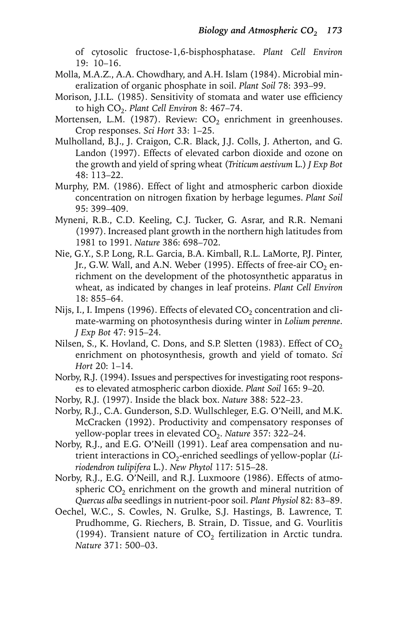of cytosolic fructose-1,6-bisphosphatase. *Plant Cell Environ* 19: 10–16.

- Molla, M.A.Z., A.A. Chowdhary, and A.H. Islam (1984). Microbial mineralization of organic phosphate in soil. *Plant Soil* 78: 393–99.
- Morison, J.I.L. (1985). Sensitivity of stomata and water use efficiency to high CO<sub>2</sub>. *Plant Cell Environ* 8: 467-74.
- Mortensen, L.M. (1987). Review:  $CO<sub>2</sub>$  enrichment in greenhouses. Crop responses. *Sci Hort* 33: 1–25.
- Mulholland, B.J., J. Craigon, C.R. Black, J.J. Colls, J. Atherton, and G. Landon (1997). Effects of elevated carbon dioxide and ozone on the growth and yield of spring wheat (*Triticum aestivum* L.) *J Exp Bot* 48: 113–22.
- Murphy, P.M. (1986). Effect of light and atmospheric carbon dioxide concentration on nitrogen fixation by herbage legumes. *Plant Soil* 95: 399–409.
- Myneni, R.B., C.D. Keeling, C.J. Tucker, G. Asrar, and R.R. Nemani (1997). Increased plant growth in the northern high latitudes from 1981 to 1991. *Nature* 386: 698–702.
- Nie, G.Y., S.P. Long, R.L. Garcia, B.A. Kimball, R.L. LaMorte, P.J. Pinter, Jr., G.W. Wall, and A.N. Weber (1995). Effects of free-air  $CO<sub>2</sub>$  enrichment on the development of the photosynthetic apparatus in wheat, as indicated by changes in leaf proteins. *Plant Cell Environ* 18: 855–64.
- Nijs, I., I. Impens (1996). Effects of elevated  $CO<sub>2</sub>$  concentration and climate-warming on photosynthesis during winter in *Lolium perenne*. *J Exp Bot* 47: 915–24.
- Nilsen, S., K. Hovland, C. Dons, and S.P. Sletten (1983). Effect of  $CO<sub>2</sub>$ enrichment on photosynthesis, growth and yield of tomato. *Sci Hort* 20: 1–14.
- Norby, R.J. (1994). Issues and perspectives for investigating root responses to elevated atmospheric carbon dioxide. *Plant Soil* 165: 9–20.
- Norby, R.J. (1997). Inside the black box. *Nature* 388: 522–23.
- Norby, R.J., C.A. Gunderson, S.D. Wullschleger, E.G. O'Neill, and M.K. McCracken (1992). Productivity and compensatory responses of yellow-poplar trees in elevated CO<sub>2</sub>. *Nature* 357: 322–24.
- Norby, R.J., and E.G. O'Neill (1991). Leaf area compensation and nutrient interactions in CO<sub>2</sub>-enriched seedlings of yellow-poplar (Li*riodendron tulipifera* L.). *New Phytol* 117: 515–28.
- Norby, R.J., E.G. O'Neill, and R.J. Luxmoore (1986). Effects of atmospheric  $CO<sub>2</sub>$  enrichment on the growth and mineral nutrition of *Quercus alba* seedlings in nutrient-poor soil. *Plant Physiol* 82: 83–89.
- Oechel, W.C., S. Cowles, N. Grulke, S.J. Hastings, B. Lawrence, T. Prudhomme, G. Riechers, B. Strain, D. Tissue, and G. Vourlitis (1994). Transient nature of  $CO<sub>2</sub>$  fertilization in Arctic tundra. *Nature* 371: 500–03.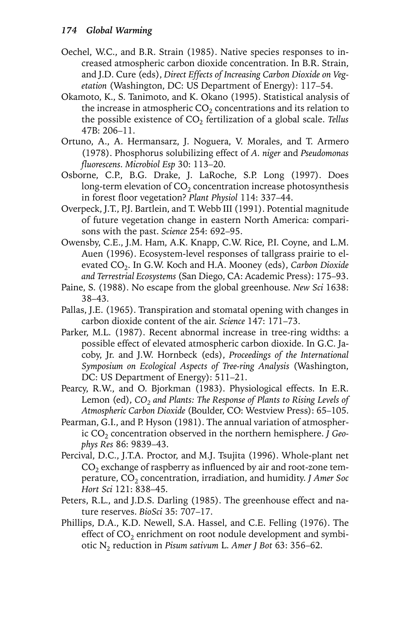- Oechel, W.C., and B.R. Strain (1985). Native species responses to increased atmospheric carbon dioxide concentration. In B.R. Strain, and J.D. Cure (eds), *Direct Effects of Increasing Carbon Dioxide on Vegetation* (Washington, DC: US Department of Energy): 117–54.
- Okamoto, K., S. Tanimoto, and K. Okano (1995). Statistical analysis of the increase in atmospheric  $CO<sub>2</sub>$  concentrations and its relation to the possible existence of CO<sub>2</sub> fertilization of a global scale. Tellus 47B: 206–11.
- Ortuno, A., A. Hermansarz, J. Noguera, V. Morales, and T. Armero (1978). Phosphorus solubilizing effect of *A. niger* and *Pseudomonas fluorescens*. *Microbiol Esp* 30: 113–20.
- Osborne, C.P., B.G. Drake, J. LaRoche, S.P. Long (1997). Does long-term elevation of  $CO<sub>2</sub>$  concentration increase photosynthesis in forest floor vegetation? *Plant Physiol* 114: 337–44.
- Overpeck, J.T., P.J. Bartlein, and T. Webb III (1991). Potential magnitude of future vegetation change in eastern North America: comparisons with the past. *Science* 254: 692–95.
- Owensby, C.E., J.M. Ham, A.K. Knapp, C.W. Rice, P.I. Coyne, and L.M. Auen (1996). Ecosystem-level responses of tallgrass prairie to elevated CO<sub>2</sub>. In G.W. Koch and H.A. Mooney (eds), *Carbon Dioxide and Terrestrial Ecosystems* (San Diego, CA: Academic Press): 175–93.
- Paine, S. (1988). No escape from the global greenhouse. *New Sci* 1638: 38–43.
- Pallas, J.E. (1965). Transpiration and stomatal opening with changes in carbon dioxide content of the air. *Science* 147: 171–73.
- Parker, M.L. (1987). Recent abnormal increase in tree-ring widths: a possible effect of elevated atmospheric carbon dioxide. In G.C. Jacoby, Jr. and J.W. Hornbeck (eds), *Proceedings of the International Symposium on Ecological Aspects of Tree-ring Analysis* (Washington, DC: US Department of Energy): 511–21.
- Pearcy, R.W., and O. Bjorkman (1983). Physiological effects. In E.R. Lemon (ed), *CO<sub>2</sub>* and Plants: The Response of Plants to Rising Levels of *Atmospheric Carbon Dioxide* (Boulder, CO: Westview Press): 65–105.
- Pearman, G.I., and P. Hyson (1981). The annual variation of atmospheric CO<sub>2</sub> concentration observed in the northern hemisphere. *J Geophys Res* 86: 9839–43.
- Percival, D.C., J.T.A. Proctor, and M.J. Tsujita (1996). Whole-plant net  $CO<sub>2</sub>$  exchange of raspberry as influenced by air and root-zone temperature, CO<sub>2</sub> concentration, irradiation, and humidity. *J Amer Soc Hort Sci* 121: 838–45.
- Peters, R.L., and J.D.S. Darling (1985). The greenhouse effect and nature reserves. *BioSci* 35: 707–17.
- Phillips, D.A., K.D. Newell, S.A. Hassel, and C.E. Felling (1976). The effect of  $CO<sub>2</sub>$  enrichment on root nodule development and symbiotic N2 reduction in *Pisum sativum* L. *Amer J Bot* 63: 356–62.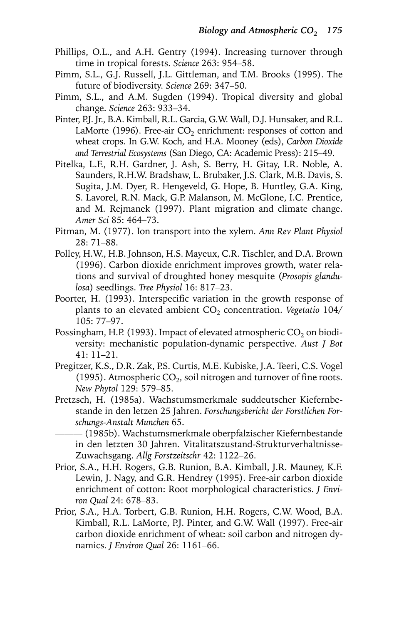- Phillips, O.L., and A.H. Gentry (1994). Increasing turnover through time in tropical forests. *Science* 263: 954–58.
- Pimm, S.L., G.J. Russell, J.L. Gittleman, and T.M. Brooks (1995). The future of biodiversity. *Science* 269: 347–50.
- Pimm, S.L., and A.M. Sugden (1994). Tropical diversity and global change. *Science* 263: 933–34.
- Pinter, P.J. Jr., B.A. Kimball, R.L. Garcia, G.W. Wall, D.J. Hunsaker, and R.L. LaMorte (1996). Free-air  $CO<sub>2</sub>$  enrichment: responses of cotton and wheat crops. In G.W. Koch, and H.A. Mooney (eds), *Carbon Dioxide and Terrestrial Ecosystems* (San Diego, CA: Academic Press): 215–49.
- Pitelka, L.F., R.H. Gardner, J. Ash, S. Berry, H. Gitay, I.R. Noble, A. Saunders, R.H.W. Bradshaw, L. Brubaker, J.S. Clark, M.B. Davis, S. Sugita, J.M. Dyer, R. Hengeveld, G. Hope, B. Huntley, G.A. King, S. Lavorel, R.N. Mack, G.P. Malanson, M. McGlone, I.C. Prentice, and M. Rejmanek (1997). Plant migration and climate change. *Amer Sci* 85: 464–73.
- Pitman, M. (1977). Ion transport into the xylem. *Ann Rev Plant Physiol* 28: 71–88.
- Polley, H.W., H.B. Johnson, H.S. Mayeux, C.R. Tischler, and D.A. Brown (1996). Carbon dioxide enrichment improves growth, water relations and survival of droughted honey mesquite (*Prosopis glandulosa*) seedlings. *Tree Physiol* 16: 817–23.
- Poorter, H. (1993). Interspecific variation in the growth response of plants to an elevated ambient CO<sub>2</sub> concentration. *Vegetatio* 104/ 105: 77–97.
- Possingham, H.P. (1993). Impact of elevated atmospheric  $CO<sub>2</sub>$  on biodiversity: mechanistic population-dynamic perspective. *Aust J Bot* 41: 11–21.
- Pregitzer, K.S., D.R. Zak, P.S. Curtis, M.E. Kubiske, J.A. Teeri, C.S. Vogel (1995). Atmospheric  $CO<sub>2</sub>$ , soil nitrogen and turnover of fine roots. *New Phytol* 129: 579–85.
- Pretzsch, H. (1985a). Wachstumsmerkmale suddeutscher Kiefernbestande in den letzen 25 Jahren. *Forschungsbericht der Forstlichen Forschungs-Anstalt Munchen* 65.
	- ——— (1985b). Wachstumsmerkmale oberpfalzischer Kiefernbestande in den letzten 30 Jahren. Vitalitatszustand-Strukturverhaltnisse-Zuwachsgang. *Allg Forstzeitschr* 42: 1122–26.
- Prior, S.A., H.H. Rogers, G.B. Runion, B.A. Kimball, J.R. Mauney, K.F. Lewin, J. Nagy, and G.R. Hendrey (1995). Free-air carbon dioxide enrichment of cotton: Root morphological characteristics. *J Environ Qual* 24: 678–83.
- Prior, S.A., H.A. Torbert, G.B. Runion, H.H. Rogers, C.W. Wood, B.A. Kimball, R.L. LaMorte, P.J. Pinter, and G.W. Wall (1997). Free-air carbon dioxide enrichment of wheat: soil carbon and nitrogen dynamics. *J Environ Qual* 26: 1161–66.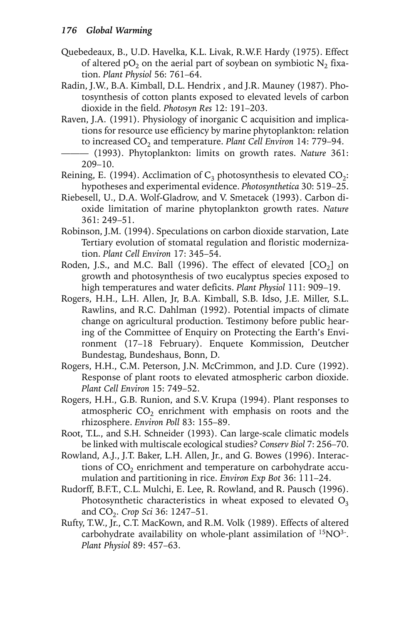- Quebedeaux, B., U.D. Havelka, K.L. Livak, R.W.F. Hardy (1975). Effect of altered  $pO_2$  on the aerial part of soybean on symbiotic  $N_2$  fixation. *Plant Physiol* 56: 761–64.
- Radin, J.W., B.A. Kimball, D.L. Hendrix , and J.R. Mauney (1987). Photosynthesis of cotton plants exposed to elevated levels of carbon dioxide in the field. *Photosyn Res* 12: 191–203.
- Raven, J.A. (1991). Physiology of inorganic C acquisition and implications for resource use efficiency by marine phytoplankton: relation to increased CO<sub>2</sub> and temperature. *Plant Cell Environ* 14: 779-94.
	- ——— (1993). Phytoplankton: limits on growth rates. *Nature* 361: 209–10.
- Reining, E. (1994). Acclimation of  $C_3$  photosynthesis to elevated  $CO_2$ : hypotheses and experimental evidence. *Photosynthetica* 30: 519–25.
- Riebesell, U., D.A. Wolf-Gladrow, and V. Smetacek (1993). Carbon dioxide limitation of marine phytoplankton growth rates. *Nature* 361: 249–51.
- Robinson, J.M. (1994). Speculations on carbon dioxide starvation, Late Tertiary evolution of stomatal regulation and floristic modernization. *Plant Cell Environ* 17: 345–54.
- Roden, J.S., and M.C. Ball (1996). The effect of elevated  $[CO<sub>2</sub>]$  on growth and photosynthesis of two eucalyptus species exposed to high temperatures and water deficits. *Plant Physiol* 111: 909–19.
- Rogers, H.H., L.H. Allen, Jr, B.A. Kimball, S.B. Idso, J.E. Miller, S.L. Rawlins, and R.C. Dahlman (1992). Potential impacts of climate change on agricultural production. Testimony before public hearing of the Committee of Enquiry on Protecting the Earth's Environment (17–18 February). Enquete Kommission, Deutcher Bundestag, Bundeshaus, Bonn, D.
- Rogers, H.H., C.M. Peterson, J.N. McCrimmon, and J.D. Cure (1992). Response of plant roots to elevated atmospheric carbon dioxide. *Plant Cell Environ* 15: 749–52.
- Rogers, H.H., G.B. Runion, and S.V. Krupa (1994). Plant responses to atmospheric  $CO<sub>2</sub>$  enrichment with emphasis on roots and the rhizosphere. *Environ Poll* 83: 155–89.
- Root, T.L., and S.H. Schneider (1993). Can large-scale climatic models be linked with multiscale ecological studies? *Conserv Biol* 7: 256–70.
- Rowland, A.J., J.T. Baker, L.H. Allen, Jr., and G. Bowes (1996). Interactions of  $CO<sub>2</sub>$  enrichment and temperature on carbohydrate accumulation and partitioning in rice. *Environ Exp Bot* 36: 111–24.
- Rudorff, B.F.T., C.L. Mulchi, E. Lee, R. Rowland, and R. Pausch (1996). Photosynthetic characteristics in wheat exposed to elevated  $O<sub>3</sub>$ and CO2. *Crop Sci* 36: 1247–51.
- Rufty, T.W., Jr., C.T. MacKown, and R.M. Volk (1989). Effects of altered carbohydrate availability on whole-plant assimilation of  $15NO^3$ . *Plant Physiol* 89: 457–63.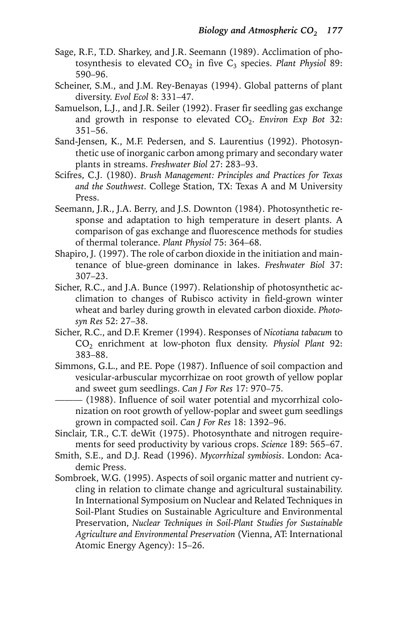- Sage, R.F., T.D. Sharkey, and J.R. Seemann (1989). Acclimation of photosynthesis to elevated  $CO<sub>2</sub>$  in five  $C<sub>3</sub>$  species. *Plant Physiol* 89: 590–96.
- Scheiner, S.M., and J.M. Rey-Benayas (1994). Global patterns of plant diversity. *Evol Ecol* 8: 331–47.
- Samuelson, L.J., and J.R. Seiler (1992). Fraser fir seedling gas exchange and growth in response to elevated  $CO<sub>2</sub>$ . *Environ Exp Bot* 32: 351–56.
- Sand-Jensen, K., M.F. Pedersen, and S. Laurentius (1992). Photosynthetic use of inorganic carbon among primary and secondary water plants in streams. *Freshwater Biol* 27: 283–93.
- Scifres, C.J. (1980). *Brush Management: Principles and Practices for Texas and the Southwest*. College Station, TX: Texas A and M University Press.
- Seemann, J.R., J.A. Berry, and J.S. Downton (1984). Photosynthetic response and adaptation to high temperature in desert plants. A comparison of gas exchange and fluorescence methods for studies of thermal tolerance. *Plant Physiol* 75: 364–68.
- Shapiro, J. (1997). The role of carbon dioxide in the initiation and maintenance of blue-green dominance in lakes. *Freshwater Biol* 37: 307–23.
- Sicher, R.C., and J.A. Bunce (1997). Relationship of photosynthetic acclimation to changes of Rubisco activity in field-grown winter wheat and barley during growth in elevated carbon dioxide. *Photosyn Res* 52: 27–38.
- Sicher, R.C., and D.F. Kremer (1994). Responses of *Nicotiana tabacum* to CO2 enrichment at low-photon flux density. *Physiol Plant* 92: 383–88.
- Simmons, G.L., and P.E. Pope (1987). Influence of soil compaction and vesicular-arbuscular mycorrhizae on root growth of yellow poplar and sweet gum seedlings. *Can J For Res* 17: 970–75.
	- $-$  (1988). Influence of soil water potential and mycorrhizal colonization on root growth of yellow-poplar and sweet gum seedlings grown in compacted soil. *Can J For Res* 18: 1392–96.
- Sinclair, T.R., C.T. deWit (1975). Photosynthate and nitrogen requirements for seed productivity by various crops. *Science* 189: 565–67.
- Smith, S.E., and D.J. Read (1996). *Mycorrhizal symbiosis*. London: Academic Press.
- Sombroek, W.G. (1995). Aspects of soil organic matter and nutrient cycling in relation to climate change and agricultural sustainability. In International Symposium on Nuclear and Related Techniques in Soil-Plant Studies on Sustainable Agriculture and Environmental Preservation, *Nuclear Techniques in Soil-Plant Studies for Sustainable Agriculture and Environmental Preservation* (Vienna, AT: International Atomic Energy Agency): 15–26.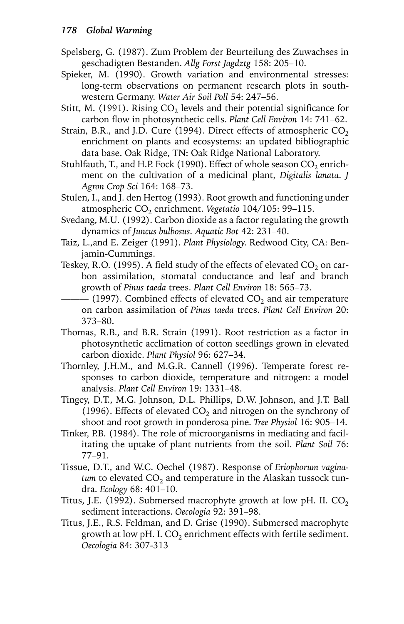#### *178 Global Warming*

- Spelsberg, G. (1987). Zum Problem der Beurteilung des Zuwachses in geschadigten Bestanden. *Allg Forst Jagdztg* 158: 205–10.
- Spieker, M. (1990). Growth variation and environmental stresses: long-term observations on permanent research plots in southwestern Germany. *Water Air Soil Poll* 54: 247–56.
- Stitt, M. (1991). Rising  $CO<sub>2</sub>$  levels and their potential significance for carbon flow in photosynthetic cells. *Plant Cell Environ* 14: 741–62.
- Strain, B.R., and J.D. Cure (1994). Direct effects of atmospheric  $CO<sub>2</sub>$ enrichment on plants and ecosystems: an updated bibliographic data base. Oak Ridge, TN: Oak Ridge National Laboratory.
- Stuhlfauth, T., and H.P. Fock (1990). Effect of whole season  $CO<sub>2</sub>$  enrichment on the cultivation of a medicinal plant, *Digitalis lanata*. *J Agron Crop Sci* 164: 168–73.
- Stulen, I., and J. den Hertog (1993). Root growth and functioning under atmospheric CO<sub>2</sub> enrichment. *Vegetatio* 104/105: 99-115.
- Svedang, M.U. (1992). Carbon dioxide as a factor regulating the growth dynamics of *Juncus bulbosus*. *Aquatic Bot* 42: 231–40.
- Taiz, L.,and E. Zeiger (1991). *Plant Physiology*. Redwood City, CA: Benjamin-Cummings.
- Teskey, R.O. (1995). A field study of the effects of elevated  $CO<sub>2</sub>$  on carbon assimilation, stomatal conductance and leaf and branch growth of *Pinus taeda* trees. *Plant Cell Environ* 18: 565–73.
	- $-$  (1997). Combined effects of elevated CO<sub>2</sub> and air temperature on carbon assimilation of *Pinus taeda* trees. *Plant Cell Environ* 20: 373–80.
- Thomas, R.B., and B.R. Strain (1991). Root restriction as a factor in photosynthetic acclimation of cotton seedlings grown in elevated carbon dioxide. *Plant Physiol* 96: 627–34.
- Thornley, J.H.M., and M.G.R. Cannell (1996). Temperate forest responses to carbon dioxide, temperature and nitrogen: a model analysis. *Plant Cell Environ* 19: 1331–48.
- Tingey, D.T., M.G. Johnson, D.L. Phillips, D.W. Johnson, and J.T. Ball (1996). Effects of elevated  $CO<sub>2</sub>$  and nitrogen on the synchrony of shoot and root growth in ponderosa pine. *Tree Physiol* 16: 905–14.
- Tinker, P.B. (1984). The role of microorganisms in mediating and facilitating the uptake of plant nutrients from the soil. *Plant Soil* 76: 77–91.
- Tissue, D.T., and W.C. Oechel (1987). Response of *Eriophorum vagina* $tum$  to elevated  $CO<sub>2</sub>$  and temperature in the Alaskan tussock tundra. *Ecology* 68: 401–10.
- Titus, J.E. (1992). Submersed macrophyte growth at low pH. II.  $CO<sub>2</sub>$ sediment interactions. *Oecologia* 92: 391–98.
- Titus, J.E., R.S. Feldman, and D. Grise (1990). Submersed macrophyte growth at low pH. I.  $CO<sub>2</sub>$  enrichment effects with fertile sediment. *Oecologia* 84: 307-313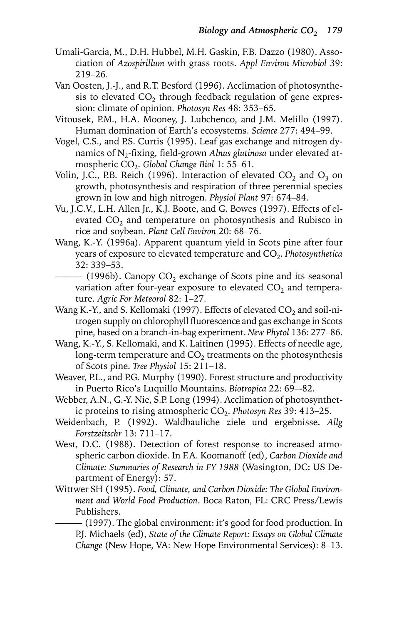- Umali-Garcia, M., D.H. Hubbel, M.H. Gaskin, F.B. Dazzo (1980). Association of *Azospirillum* with grass roots. *Appl Environ Microbiol* 39: 219–26.
- Van Oosten, J.-J., and R.T. Besford (1996). Acclimation of photosynthesis to elevated  $CO<sub>2</sub>$  through feedback regulation of gene expression: climate of opinion. *Photosyn Res* 48: 353–65.
- Vitousek, P.M., H.A. Mooney, J. Lubchenco, and J.M. Melillo (1997). Human domination of Earth's ecosystems. *Science* 277: 494–99.
- Vogel, C.S., and P.S. Curtis (1995). Leaf gas exchange and nitrogen dynamics of N<sub>2</sub>-fixing, field-grown *Alnus glutinosa* under elevated atmospheric CO<sub>2</sub>. *Global Change Biol* 1: 55–61.
- Volin, J.C., P.B. Reich (1996). Interaction of elevated  $CO<sub>2</sub>$  and  $O<sub>3</sub>$  on growth, photosynthesis and respiration of three perennial species grown in low and high nitrogen. *Physiol Plant* 97: 674–84.
- Vu, J.C.V., L.H. Allen Jr., K.J. Boote, and G. Bowes (1997). Effects of elevated  $CO<sub>2</sub>$  and temperature on photosynthesis and Rubisco in rice and soybean. *Plant Cell Environ* 20: 68–76.
- Wang, K.-Y. (1996a). Apparent quantum yield in Scots pine after four years of exposure to elevated temperature and CO<sub>2</sub>. *Photosynthetica* 32: 339–53.
	- $-$  (1996b). Canopy  $CO<sub>2</sub>$  exchange of Scots pine and its seasonal variation after four-year exposure to elevated  $CO<sub>2</sub>$  and temperature. *Agric For Meteorol* 82: 1–27.
- Wang K.-Y., and S. Kellomaki (1997). Effects of elevated  $CO<sub>2</sub>$  and soil-nitrogen supply on chlorophyll fluorescence and gas exchange in Scots pine, based on a branch-in-bag experiment. *New Phytol* 136: 277–86.
- Wang, K.-Y., S. Kellomaki, and K. Laitinen (1995). Effects of needle age, long-term temperature and  $CO<sub>2</sub>$  treatments on the photosynthesis of Scots pine. *Tree Physiol* 15: 211–18.
- Weaver, P.L., and P.G. Murphy (1990). Forest structure and productivity in Puerto Rico's Luquillo Mountains. *Biotropica* 22: 69–-82.
- Webber, A.N., G.-Y. Nie, S.P. Long (1994). Acclimation of photosynthetic proteins to rising atmospheric CO<sub>2</sub>. *Photosyn Res* 39: 413–25.
- Weidenbach, P. (1992). Waldbauliche ziele und ergebnisse. *Allg Forstzeitschr* 13: 711–17.
- West, D.C. (1988). Detection of forest response to increased atmospheric carbon dioxide. In F.A. Koomanoff (ed), *Carbon Dioxide and Climate: Summaries of Research in FY 1988* (Wasington, DC: US Department of Energy): 57.
- Wittwer SH (1995). *Food, Climate, and Carbon Dioxide: The Global Environment and World Food Production*. Boca Raton, FL: CRC Press/Lewis Publishers.
	- $-$  (1997). The global environment: it's good for food production. In P.J. Michaels (ed), *State of the Climate Report: Essays on Global Climate Change* (New Hope, VA: New Hope Environmental Services): 8–13.